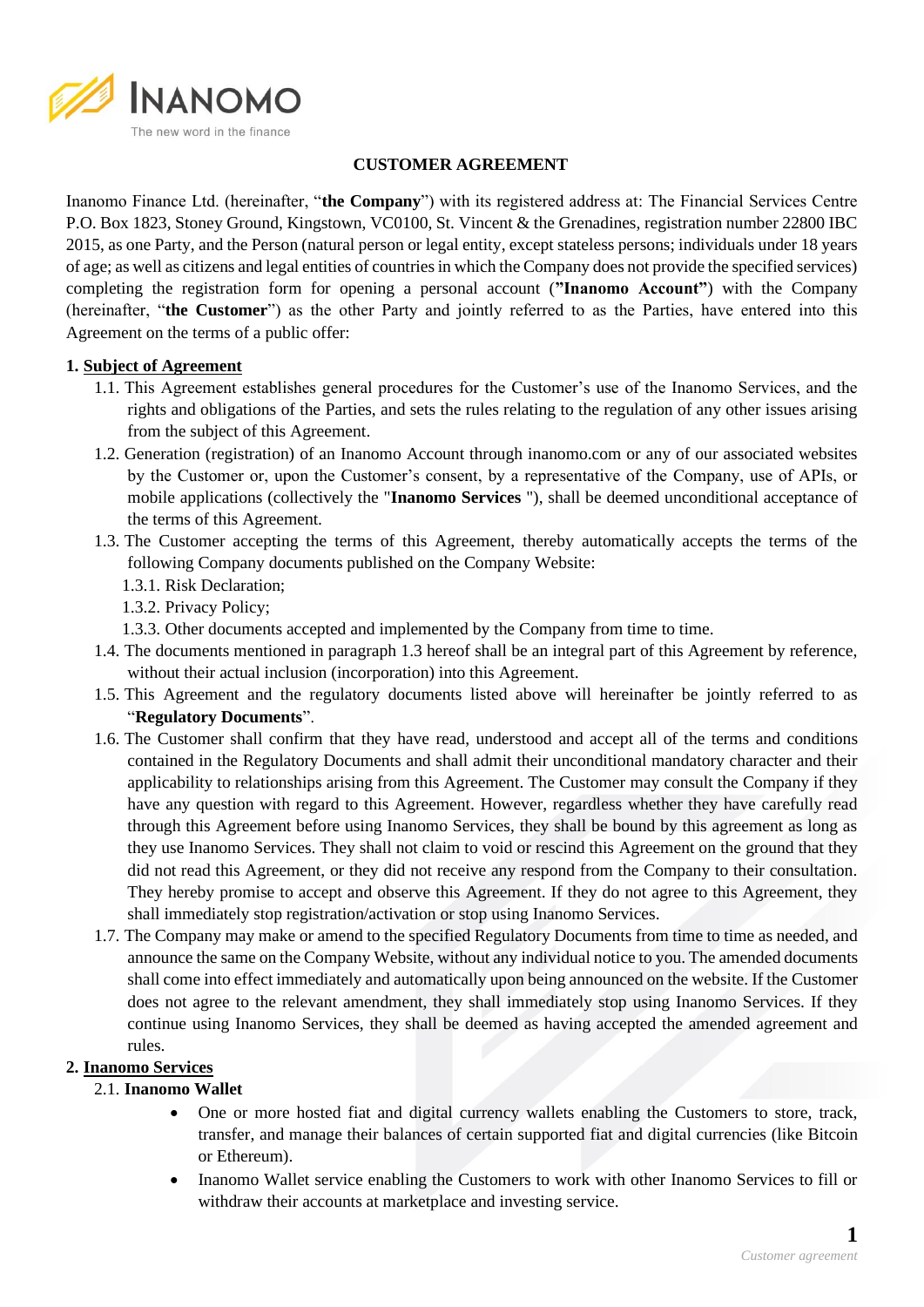

### **CUSTOMER AGREEMENT**

Inanomo Finance Ltd. (hereinafter, "**the Company**") with its registered address at: The Financial Services Centre P.O. Box 1823, Stoney Ground, Kingstown, VC0100, St. Vincent & the Grenadines, registration number 22800 IBC 2015, as one Party, and the Person (natural person or legal entity, except stateless persons; individuals under 18 years of age; as well as citizens and legal entities of countries in which the Company does not provide the specified services) completing the registration form for opening a personal account (**"Inanomo Account"**) with the Company (hereinafter, "**the Customer**") as the other Party and jointly referred to as the Parties, have entered into this Agreement on the terms of a public offer:

#### **1. Subject of Agreement**

- 1.1. This Agreement establishes general procedures for the Customer's use of the Inanomo Services, and the rights and obligations of the Parties, and sets the rules relating to the regulation of any other issues arising from the subject of this Agreement.
- 1.2. Generation (registration) of an Inanomo Account through inanomo.com or any of our associated websites by the Customer or, upon the Customer's consent, by a representative of the Company, use of APIs, or mobile applications (collectively the "**Inanomo Services** "), shall be deemed unconditional acceptance of the terms of this Agreement.
- 1.3. The Customer accepting the terms of this Agreement, thereby automatically accepts the terms of the following Company documents published on the Company Website:
	- 1.3.1. Risk Declaration;
	- 1.3.2. Privacy Policy;
	- 1.3.3. Other documents accepted and implemented by the Company from time to time.
- 1.4. The documents mentioned in paragraph 1.3 hereof shall be an integral part of this Agreement by reference, without their actual inclusion (incorporation) into this Agreement.
- 1.5. This Agreement and the regulatory documents listed above will hereinafter be jointly referred to as "**Regulatory Documents**".
- 1.6. The Customer shall confirm that they have read, understood and accept all of the terms and conditions contained in the Regulatory Documents and shall admit their unconditional mandatory character and their applicability to relationships arising from this Agreement. The Customer may consult the Company if they have any question with regard to this Agreement. However, regardless whether they have carefully read through this Agreement before using Inanomo Services, they shall be bound by this agreement as long as they use Inanomo Services. They shall not claim to void or rescind this Agreement on the ground that they did not read this Agreement, or they did not receive any respond from the Company to their consultation. They hereby promise to accept and observe this Agreement. If they do not agree to this Agreement, they shall immediately stop registration/activation or stop using Inanomo Services.
- 1.7. The Company may make or amend to the specified Regulatory Documents from time to time as needed, and announce the same on the Company Website, without any individual notice to you. The amended documents shall come into effect immediately and automatically upon being announced on the website. If the Customer does not agree to the relevant amendment, they shall immediately stop using Inanomo Services. If they continue using Inanomo Services, they shall be deemed as having accepted the amended agreement and rules.

### **2. Inanomo Services**

### 2.1. **Inanomo Wallet**

- One or more hosted fiat and digital currency wallets enabling the Customers to store, track, transfer, and manage their balances of certain supported fiat and digital currencies (like Bitcoin or Ethereum).
- Inanomo Wallet service enabling the Customers to work with other Inanomo Services to fill or withdraw their accounts at marketplace and investing service.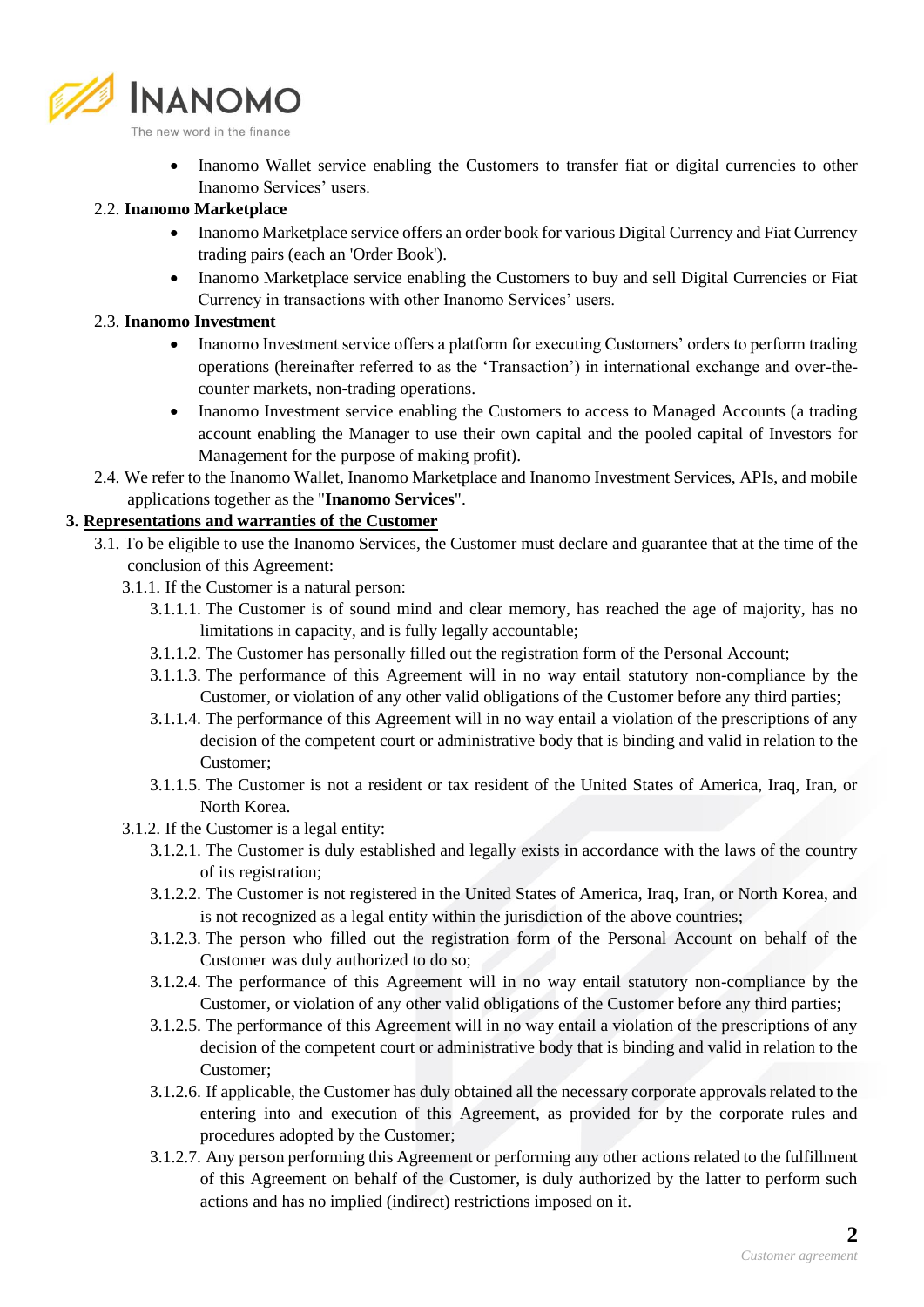

• Inanomo Wallet service enabling the Customers to transfer fiat or digital currencies to other Inanomo Services' users.

### 2.2. **Inanomo Marketplace**

- Inanomo Marketplace service offers an order book for various Digital Currency and Fiat Currency trading pairs (each an 'Order Book').
- Inanomo Marketplace service enabling the Customers to buy and sell Digital Currencies or Fiat Currency in transactions with other Inanomo Services' users.

## 2.3. **Inanomo Investment**

- Inanomo Investment service offers a platform for executing Customers' orders to perform trading operations (hereinafter referred to as the 'Transaction') in international exchange and over-thecounter markets, non-trading operations.
- Inanomo Investment service enabling the Customers to access to Managed Accounts (a trading account enabling the Manager to use their own capital and the pooled capital of Investors for Management for the purpose of making profit).
- 2.4. We refer to the Inanomo Wallet, Inanomo Marketplace and Inanomo Investment Services, APIs, and mobile applications together as the "**Inanomo Services**".

# **3. Representations and warranties of the Customer**

- 3.1. To be eligible to use the Inanomo Services, the Customer must declare and guarantee that at the time of the conclusion of this Agreement:
	- 3.1.1. If the Customer is a natural person:
		- 3.1.1.1. The Customer is of sound mind and clear memory, has reached the age of majority, has no limitations in capacity, and is fully legally accountable;
		- 3.1.1.2. The Customer has personally filled out the registration form of the Personal Account;
		- 3.1.1.3. The performance of this Agreement will in no way entail statutory non-compliance by the Customer, or violation of any other valid obligations of the Customer before any third parties;
		- 3.1.1.4. The performance of this Agreement will in no way entail a violation of the prescriptions of any decision of the competent court or administrative body that is binding and valid in relation to the Customer;
		- 3.1.1.5. The Customer is not a resident or tax resident of the United States of America, Iraq, Iran, or North Korea.
	- 3.1.2. If the Customer is a legal entity:
		- 3.1.2.1. The Customer is duly established and legally exists in accordance with the laws of the country of its registration;
		- 3.1.2.2. The Customer is not registered in the United States of America, Iraq, Iran, or North Korea, and is not recognized as a legal entity within the jurisdiction of the above countries;
		- 3.1.2.3. The person who filled out the registration form of the Personal Account on behalf of the Customer was duly authorized to do so;
		- 3.1.2.4. The performance of this Agreement will in no way entail statutory non-compliance by the Customer, or violation of any other valid obligations of the Customer before any third parties;
		- 3.1.2.5. The performance of this Agreement will in no way entail a violation of the prescriptions of any decision of the competent court or administrative body that is binding and valid in relation to the Customer;
		- 3.1.2.6. If applicable, the Customer has duly obtained all the necessary corporate approvals related to the entering into and execution of this Agreement, as provided for by the corporate rules and procedures adopted by the Customer;
		- 3.1.2.7. Any person performing this Agreement or performing any other actions related to the fulfillment of this Agreement on behalf of the Customer, is duly authorized by the latter to perform such actions and has no implied (indirect) restrictions imposed on it.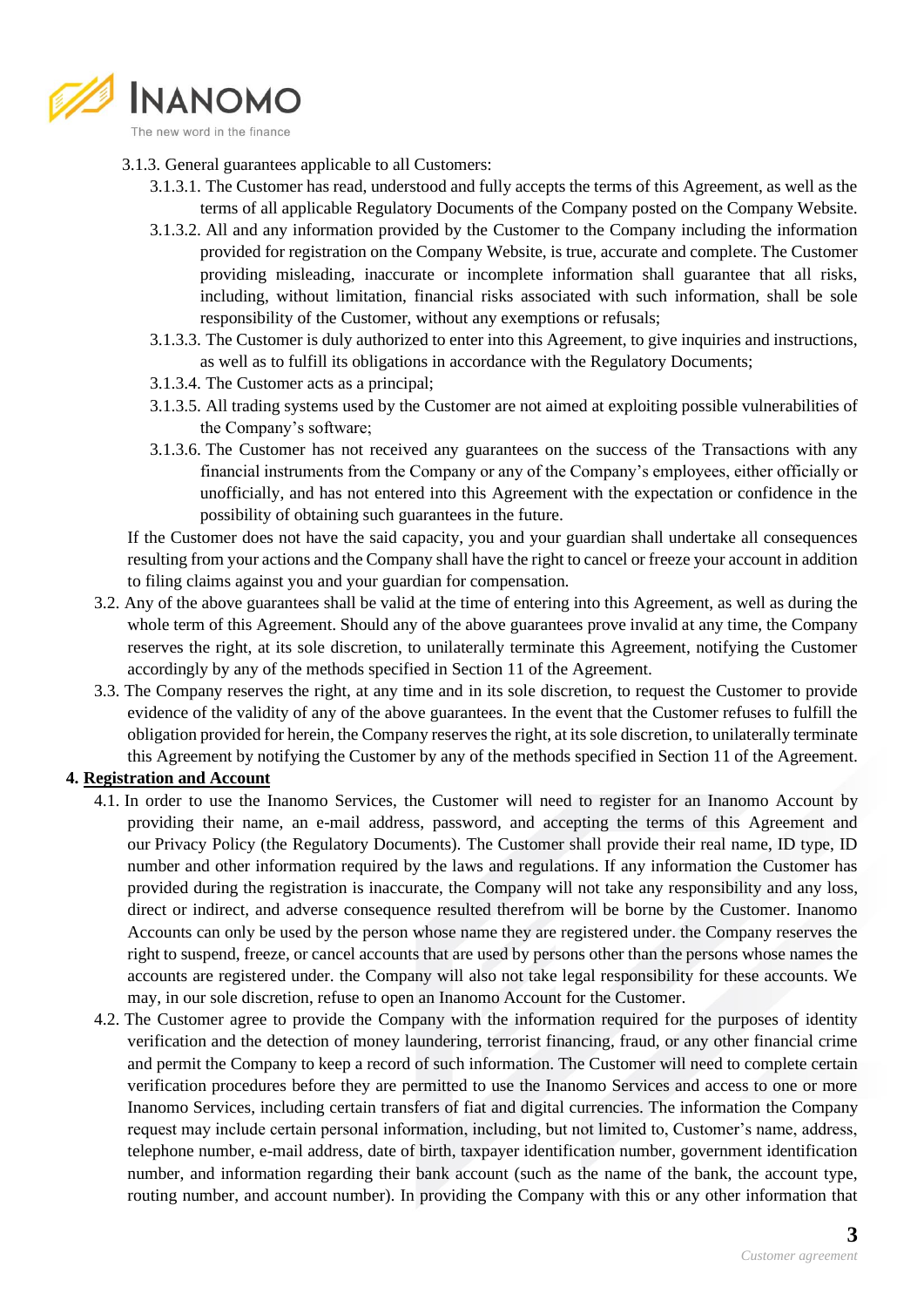

- 3.1.3. General guarantees applicable to all Customers:
	- 3.1.3.1. The Customer has read, understood and fully accepts the terms of this Agreement, as well as the terms of all applicable Regulatory Documents of the Company posted on the Company Website.
	- 3.1.3.2. All and any information provided by the Customer to the Company including the information provided for registration on the Company Website, is true, accurate and complete. The Customer providing misleading, inaccurate or incomplete information shall guarantee that all risks, including, without limitation, financial risks associated with such information, shall be sole responsibility of the Customer, without any exemptions or refusals;
	- 3.1.3.3. The Customer is duly authorized to enter into this Agreement, to give inquiries and instructions, as well as to fulfill its obligations in accordance with the Regulatory Documents;
	- 3.1.3.4. The Customer acts as a principal;
	- 3.1.3.5. All trading systems used by the Customer are not aimed at exploiting possible vulnerabilities of the Company's software;
	- 3.1.3.6. The Customer has not received any guarantees on the success of the Transactions with any financial instruments from the Company or any of the Company's employees, either officially or unofficially, and has not entered into this Agreement with the expectation or confidence in the possibility of obtaining such guarantees in the future.

If the Customer does not have the said capacity, you and your guardian shall undertake all consequences resulting from your actions and the Company shall have the right to cancel or freeze your account in addition to filing claims against you and your guardian for compensation.

- 3.2. Any of the above guarantees shall be valid at the time of entering into this Agreement, as well as during the whole term of this Agreement. Should any of the above guarantees prove invalid at any time, the Company reserves the right, at its sole discretion, to unilaterally terminate this Agreement, notifying the Customer accordingly by any of the methods specified in Section 11 of the Agreement.
- 3.3. The Company reserves the right, at any time and in its sole discretion, to request the Customer to provide evidence of the validity of any of the above guarantees. In the event that the Customer refuses to fulfill the obligation provided for herein, the Company reserves the right, at its sole discretion, to unilaterally terminate this Agreement by notifying the Customer by any of the methods specified in Section 11 of the Agreement.

### **4. Registration and Account**

- 4.1. In order to use the Inanomo Services, the Customer will need to register for an Inanomo Account by providing their name, an e-mail address, password, and accepting the terms of this Agreement and our [Privacy Policy](https://www.coinbase.com/legal/privacy?country=UK) (the Regulatory Documents). The Customer shall provide their real name, ID type, ID number and other information required by the laws and regulations. If any information the Customer has provided during the registration is inaccurate, the Company will not take any responsibility and any loss, direct or indirect, and adverse consequence resulted therefrom will be borne by the Customer. Inanomo Accounts can only be used by the person whose name they are registered under. the Company reserves the right to suspend, freeze, or cancel accounts that are used by persons other than the persons whose names the accounts are registered under. the Company will also not take legal responsibility for these accounts. We may, in our sole discretion, refuse to open an Inanomo Account for the Customer.
- 4.2. The Customer agree to provide the Company with the information required for the purposes of identity verification and the detection of money laundering, terrorist financing, fraud, or any other financial crime and permit the Company to keep a record of such information. The Customer will need to complete certain verification procedures before they are permitted to use the Inanomo Services and access to one or more Inanomo Services, including certain transfers of fiat and digital currencies. The information the Company request may include certain personal information, including, but not limited to, Customer's name, address, telephone number, e-mail address, date of birth, taxpayer identification number, government identification number, and information regarding their bank account (such as the name of the bank, the account type, routing number, and account number). In providing the Company with this or any other information that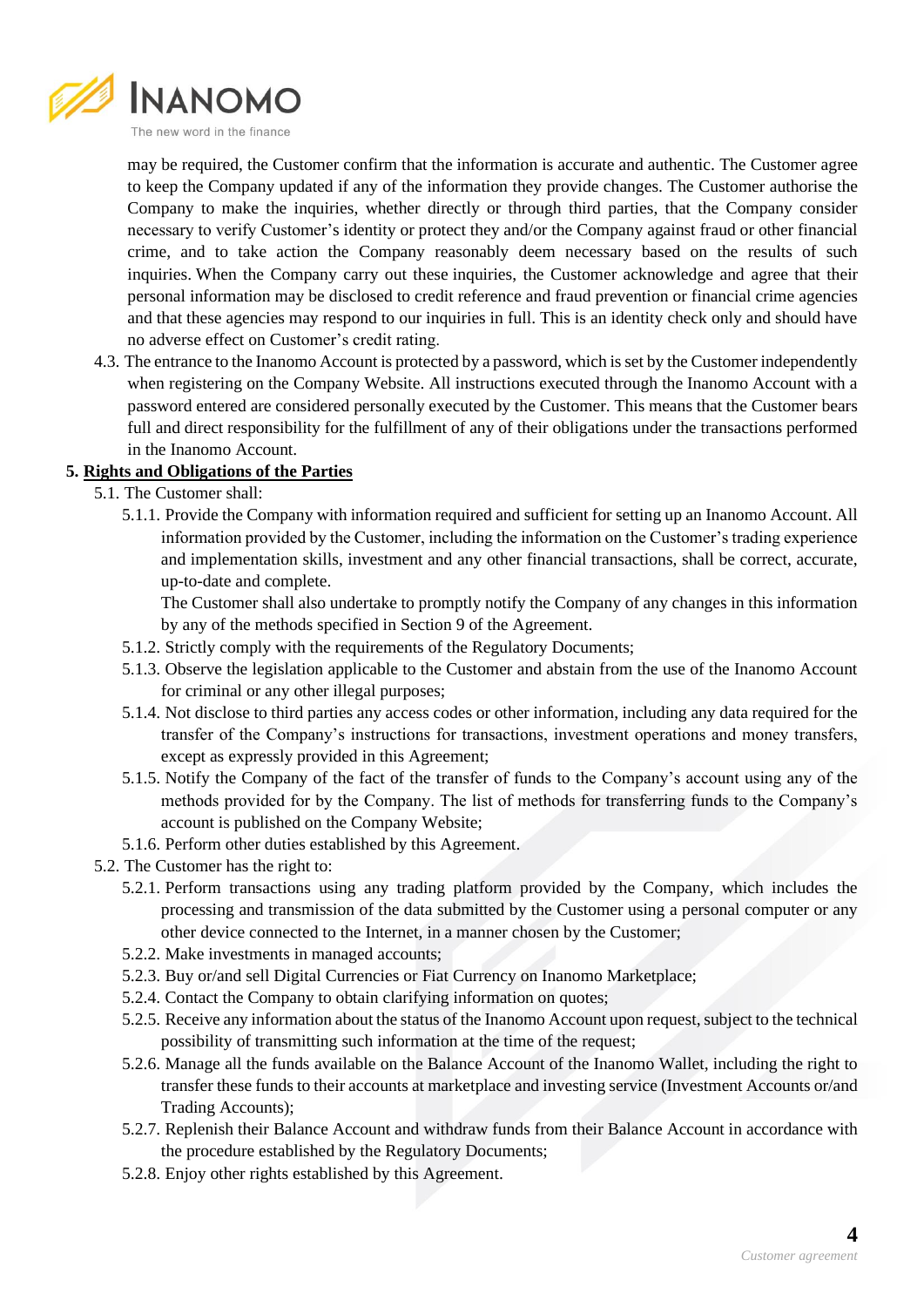

may be required, the Customer confirm that the information is accurate and authentic. The Customer agree to keep the Company updated if any of the information they provide changes. The Customer authorise the Company to make the inquiries, whether directly or through third parties, that the Company consider necessary to verify Customer's identity or protect they and/or the Company against fraud or other financial crime, and to take action the Company reasonably deem necessary based on the results of such inquiries. When the Company carry out these inquiries, the Customer acknowledge and agree that their personal information may be disclosed to credit reference and fraud prevention or financial crime agencies and that these agencies may respond to our inquiries in full. This is an identity check only and should have no adverse effect on Customer's credit rating.

4.3. The entrance to the Inanomo Account is protected by a password, which is set by the Customer independently when registering on the Company Website. All instructions executed through the Inanomo Account with a password entered are considered personally executed by the Customer. This means that the Customer bears full and direct responsibility for the fulfillment of any of their obligations under the transactions performed in the Inanomo Account.

## **5. Rights and Obligations of the Parties**

- 5.1. The Customer shall:
	- 5.1.1. Provide the Company with information required and sufficient for setting up an Inanomo Account. All information provided by the Customer, including the information on the Customer's trading experience and implementation skills, investment and any other financial transactions, shall be correct, accurate, up-to-date and complete.

The Customer shall also undertake to promptly notify the Company of any changes in this information by any of the methods specified in Section 9 of the Agreement.

- 5.1.2. Strictly comply with the requirements of the Regulatory Documents;
- 5.1.3. Observe the legislation applicable to the Customer and abstain from the use of the Inanomo Account for criminal or any other illegal purposes;
- 5.1.4. Not disclose to third parties any access codes or other information, including any data required for the transfer of the Company's instructions for transactions, investment operations and money transfers, except as expressly provided in this Agreement;
- 5.1.5. Notify the Company of the fact of the transfer of funds to the Company's account using any of the methods provided for by the Company. The list of methods for transferring funds to the Company's account is published on the Company Website;
- 5.1.6. Perform other duties established by this Agreement.
- 5.2. The Customer has the right to:
	- 5.2.1. Perform transactions using any trading platform provided by the Company, which includes the processing and transmission of the data submitted by the Customer using a personal computer or any other device connected to the Internet, in a manner chosen by the Customer;
	- 5.2.2. Make investments in managed accounts;
	- 5.2.3. Buy or/and sell Digital Currencies or Fiat Currency on Inanomo Marketplace;
	- 5.2.4. Contact the Company to obtain clarifying information on quotes;
	- 5.2.5. Receive any information about the status of the Inanomo Account upon request, subject to the technical possibility of transmitting such information at the time of the request;
	- 5.2.6. Manage all the funds available on the Balance Account of the Inanomo Wallet, including the right to transfer these funds to their accounts at marketplace and investing service (Investment Accounts or/and Trading Accounts);
	- 5.2.7. Replenish their Balance Account and withdraw funds from their Balance Account in accordance with the procedure established by the Regulatory Documents;
	- 5.2.8. Enjoy other rights established by this Agreement.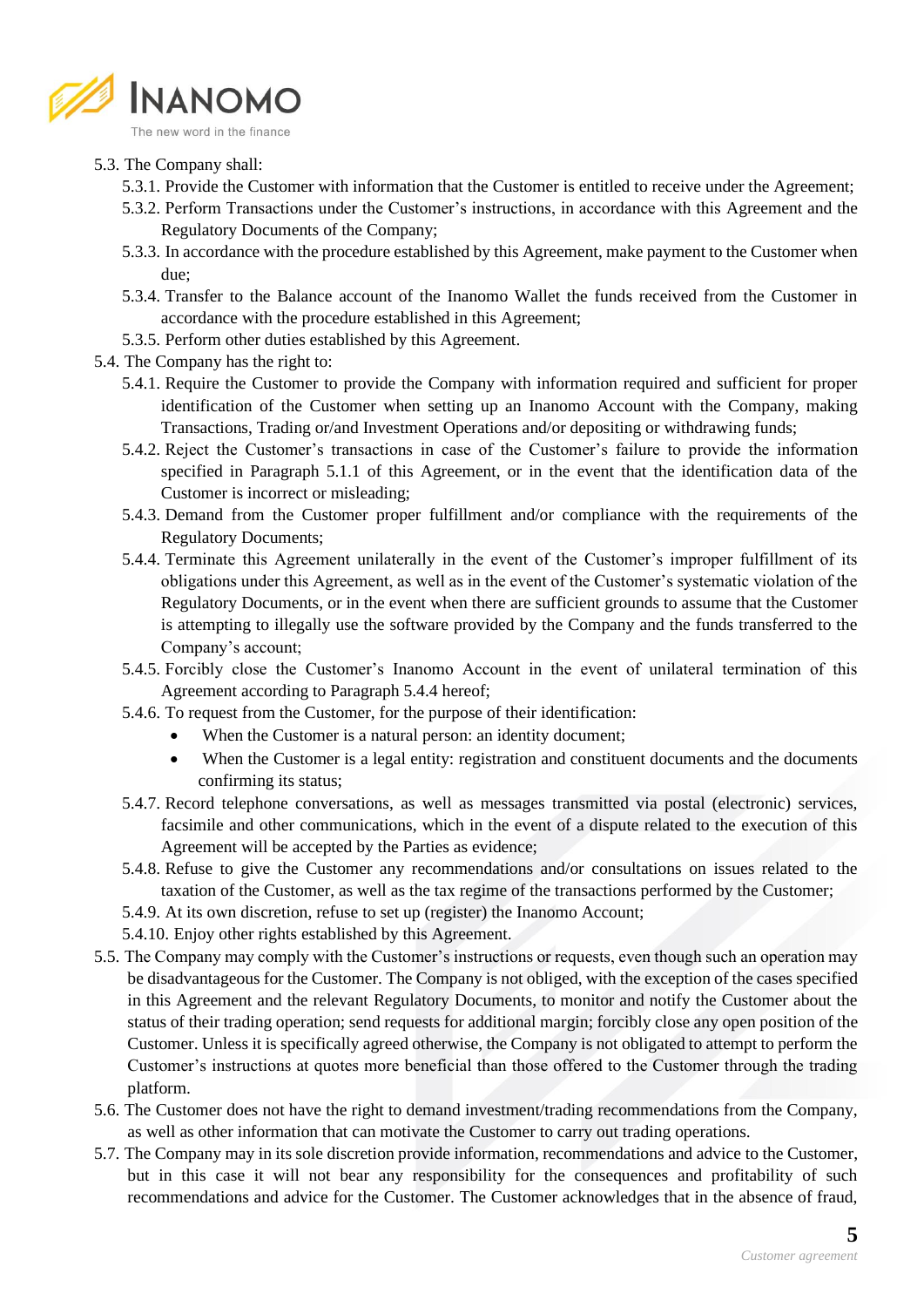

- 5.3. The Company shall:
	- 5.3.1. Provide the Customer with information that the Customer is entitled to receive under the Agreement;
	- 5.3.2. Perform Transactions under the Customer's instructions, in accordance with this Agreement and the Regulatory Documents of the Company;
	- 5.3.3. In accordance with the procedure established by this Agreement, make payment to the Customer when due;
	- 5.3.4. Transfer to the Balance account of the Inanomo Wallet the funds received from the Customer in accordance with the procedure established in this Agreement;
	- 5.3.5. Perform other duties established by this Agreement.
- 5.4. The Company has the right to:
	- 5.4.1. Require the Customer to provide the Company with information required and sufficient for proper identification of the Customer when setting up an Inanomo Account with the Company, making Transactions, Trading or/and Investment Operations and/or depositing or withdrawing funds;
	- 5.4.2. Reject the Customer's transactions in case of the Customer's failure to provide the information specified in Paragraph 5.1.1 of this Agreement, or in the event that the identification data of the Customer is incorrect or misleading;
	- 5.4.3. Demand from the Customer proper fulfillment and/or compliance with the requirements of the Regulatory Documents;
	- 5.4.4. Terminate this Agreement unilaterally in the event of the Customer's improper fulfillment of its obligations under this Agreement, as well as in the event of the Customer's systematic violation of the Regulatory Documents, or in the event when there are sufficient grounds to assume that the Customer is attempting to illegally use the software provided by the Company and the funds transferred to the Company's account;
	- 5.4.5. Forcibly close the Customer's Inanomo Account in the event of unilateral termination of this Agreement according to Paragraph 5.4.4 hereof;
	- 5.4.6. To request from the Customer, for the purpose of their identification:
		- When the Customer is a natural person: an identity document;
		- When the Customer is a legal entity: registration and constituent documents and the documents confirming its status;
	- 5.4.7. Record telephone conversations, as well as messages transmitted via postal (electronic) services, facsimile and other communications, which in the event of a dispute related to the execution of this Agreement will be accepted by the Parties as evidence;
	- 5.4.8. Refuse to give the Customer any recommendations and/or consultations on issues related to the taxation of the Customer, as well as the tax regime of the transactions performed by the Customer;
	- 5.4.9. At its own discretion, refuse to set up (register) the Inanomo Account;
	- 5.4.10. Enjoy other rights established by this Agreement.
- 5.5. The Company may comply with the Customer's instructions or requests, even though such an operation may be disadvantageous for the Customer. The Company is not obliged, with the exception of the cases specified in this Agreement and the relevant Regulatory Documents, to monitor and notify the Customer about the status of their trading operation; send requests for additional margin; forcibly close any open position of the Customer. Unless it is specifically agreed otherwise, the Company is not obligated to attempt to perform the Customer's instructions at quotes more beneficial than those offered to the Customer through the trading platform.
- 5.6. The Customer does not have the right to demand investment/trading recommendations from the Company, as well as other information that can motivate the Customer to carry out trading operations.
- 5.7. The Company may in its sole discretion provide information, recommendations and advice to the Customer, but in this case it will not bear any responsibility for the consequences and profitability of such recommendations and advice for the Customer. The Customer acknowledges that in the absence of fraud,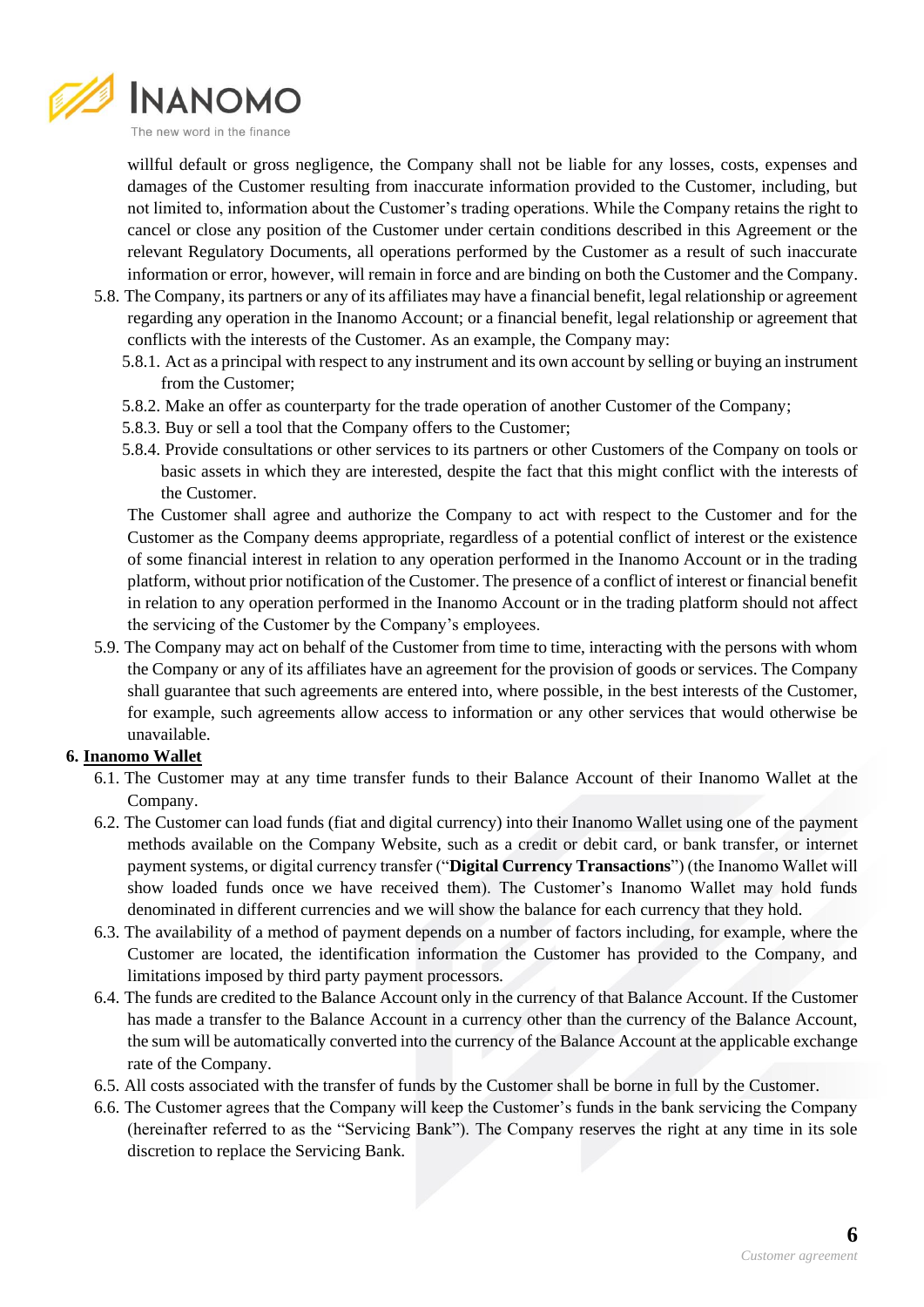

willful default or gross negligence, the Company shall not be liable for any losses, costs, expenses and damages of the Customer resulting from inaccurate information provided to the Customer, including, but not limited to, information about the Customer's trading operations. While the Company retains the right to cancel or close any position of the Customer under certain conditions described in this Agreement or the relevant Regulatory Documents, all operations performed by the Customer as a result of such inaccurate information or error, however, will remain in force and are binding on both the Customer and the Company.

- 5.8. The Company, its partners or any of its affiliates may have a financial benefit, legal relationship or agreement regarding any operation in the Inanomo Account; or a financial benefit, legal relationship or agreement that conflicts with the interests of the Customer. As an example, the Company may:
	- 5.8.1. Act as a principal with respect to any instrument and its own account by selling or buying an instrument from the Customer;
	- 5.8.2. Make an offer as counterparty for the trade operation of another Customer of the Company;
	- 5.8.3. Buy or sell a tool that the Company offers to the Customer;
	- 5.8.4. Provide consultations or other services to its partners or other Customers of the Company on tools or basic assets in which they are interested, despite the fact that this might conflict with the interests of the Customer.

The Customer shall agree and authorize the Company to act with respect to the Customer and for the Customer as the Company deems appropriate, regardless of a potential conflict of interest or the existence of some financial interest in relation to any operation performed in the Inanomo Account or in the trading platform, without prior notification of the Customer. The presence of a conflict of interest or financial benefit in relation to any operation performed in the Inanomo Account or in the trading platform should not affect the servicing of the Customer by the Company's employees.

5.9. The Company may act on behalf of the Customer from time to time, interacting with the persons with whom the Company or any of its affiliates have an agreement for the provision of goods or services. The Company shall guarantee that such agreements are entered into, where possible, in the best interests of the Customer, for example, such agreements allow access to information or any other services that would otherwise be unavailable.

### **6. Inanomo Wallet**

- 6.1. The Customer may at any time transfer funds to their Balance Account of their Inanomo Wallet at the Company.
- 6.2. The Customer can load funds (fiat and digital currency) into their Inanomo Wallet using one of the payment methods available on the Company Website, such as a credit or debit card, or bank transfer, or internet payment systems, or digital currency transfer ("**Digital Currency Transactions**") (the Inanomo Wallet will show loaded funds once we have received them). The Customer's Inanomo Wallet may hold funds denominated in different currencies and we will show the balance for each currency that they hold.
- 6.3. The availability of a method of payment depends on a number of factors including, for example, where the Customer are located, the identification information the Customer has provided to the Company, and limitations imposed by third party payment processors.
- 6.4. The funds are credited to the Balance Account only in the currency of that Balance Account. If the Customer has made a transfer to the Balance Account in a currency other than the currency of the Balance Account, the sum will be automatically converted into the currency of the Balance Account at the applicable exchange rate of the Company.
- 6.5. All costs associated with the transfer of funds by the Customer shall be borne in full by the Customer.
- 6.6. The Customer agrees that the Company will keep the Customer's funds in the bank servicing the Company (hereinafter referred to as the "Servicing Bank"). The Company reserves the right at any time in its sole discretion to replace the Servicing Bank.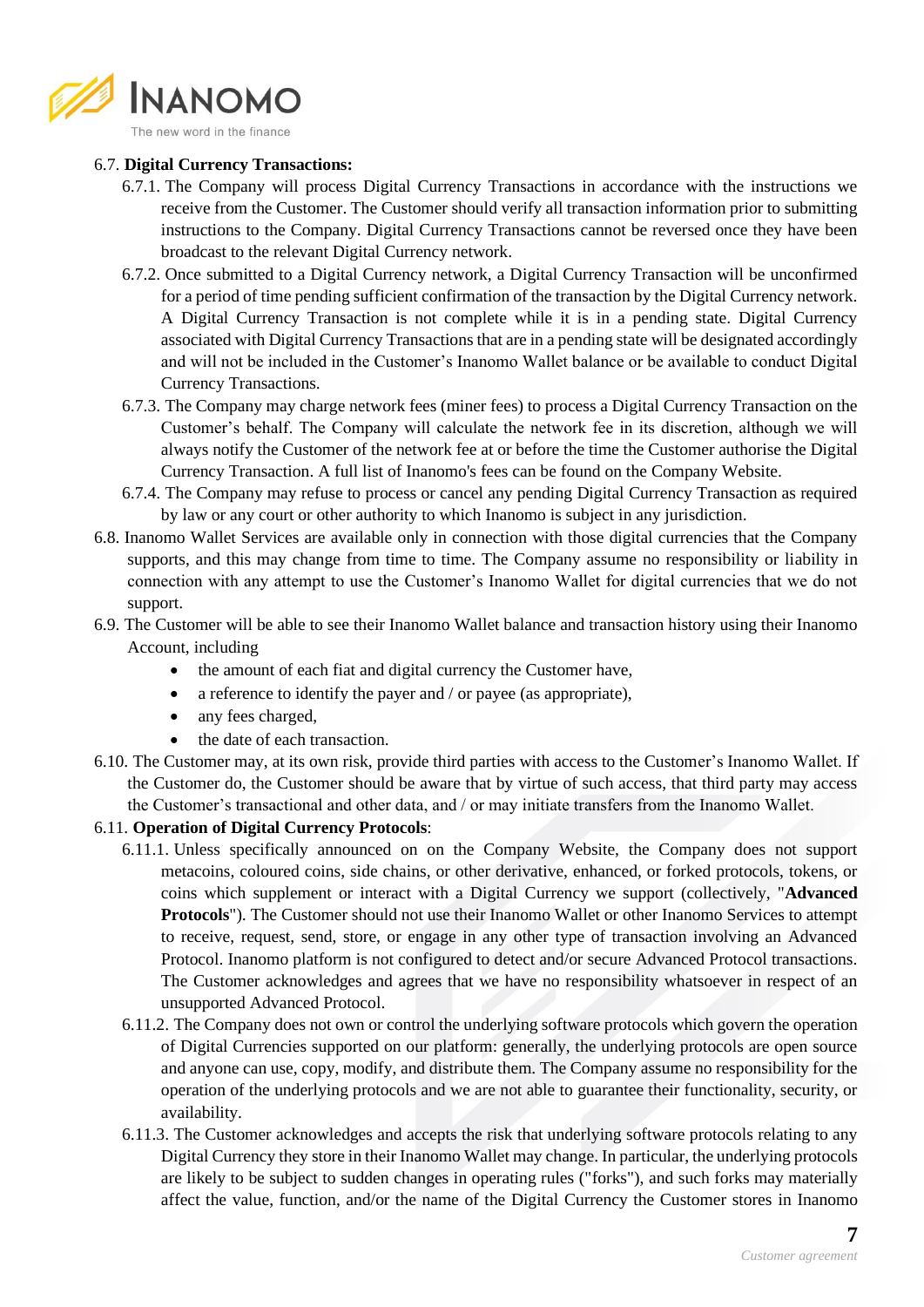

#### 6.7. **Digital Currency Transactions:**

- 6.7.1. The Company will process Digital Currency Transactions in accordance with the instructions we receive from the Customer. The Customer should verify all transaction information prior to submitting instructions to the Company. Digital Currency Transactions cannot be reversed once they have been broadcast to the relevant Digital Currency network.
- 6.7.2. Once submitted to a Digital Currency network, a Digital Currency Transaction will be unconfirmed for a period of time pending sufficient confirmation of the transaction by the Digital Currency network. A Digital Currency Transaction is not complete while it is in a pending state. Digital Currency associated with Digital Currency Transactions that are in a pending state will be designated accordingly and will not be included in the Customer's Inanomo Wallet balance or be available to conduct Digital Currency Transactions.
- 6.7.3. The Company may charge network fees (miner fees) to process a Digital Currency Transaction on the Customer's behalf. The Company will calculate the network fee in its discretion, although we will always notify the Customer of the network fee at or before the time the Customer authorise the Digital Currency Transaction. A full list of Inanomo's fees can be found on the Company Website.
- 6.7.4. The Company may refuse to process or cancel any pending Digital Currency Transaction as required by law or any court or other authority to which Inanomo is subject in any jurisdiction.
- 6.8. Inanomo Wallet Services are available only in connection with those digital currencies that the Company supports, and this may change from time to time. The Company assume no responsibility or liability in connection with any attempt to use the Customer's Inanomo Wallet for digital currencies that we do not support.
- 6.9. The Customer will be able to see their Inanomo Wallet balance and transaction history using their Inanomo Account, including
	- the amount of each fiat and digital currency the Customer have,
	- a reference to identify the payer and / or payee (as appropriate),
	- any fees charged.
	- the date of each transaction.
- 6.10. The Customer may, at its own risk, provide third parties with access to the Customer's Inanomo Wallet. If the Customer do, the Customer should be aware that by virtue of such access, that third party may access the Customer's transactional and other data, and / or may initiate transfers from the Inanomo Wallet.

### 6.11. **Operation of Digital Currency Protocols**:

- 6.11.1. Unless specifically announced on on the Company Website, the Company does not support metacoins, coloured coins, side chains, or other derivative, enhanced, or forked protocols, tokens, or coins which supplement or interact with a Digital Currency we support (collectively, "**Advanced Protocols**"). The Customer should not use their Inanomo Wallet or other Inanomo Services to attempt to receive, request, send, store, or engage in any other type of transaction involving an Advanced Protocol. Inanomo platform is not configured to detect and/or secure Advanced Protocol transactions. The Customer acknowledges and agrees that we have no responsibility whatsoever in respect of an unsupported Advanced Protocol.
- 6.11.2. The Company does not own or control the underlying software protocols which govern the operation of Digital Currencies supported on our platform: generally, the underlying protocols are open source and anyone can use, copy, modify, and distribute them. The Company assume no responsibility for the operation of the underlying protocols and we are not able to guarantee their functionality, security, or availability.
- 6.11.3. The Customer acknowledges and accepts the risk that underlying software protocols relating to any Digital Currency they store in their Inanomo Wallet may change. In particular, the underlying protocols are likely to be subject to sudden changes in operating rules ("forks"), and such forks may materially affect the value, function, and/or the name of the Digital Currency the Customer stores in Inanomo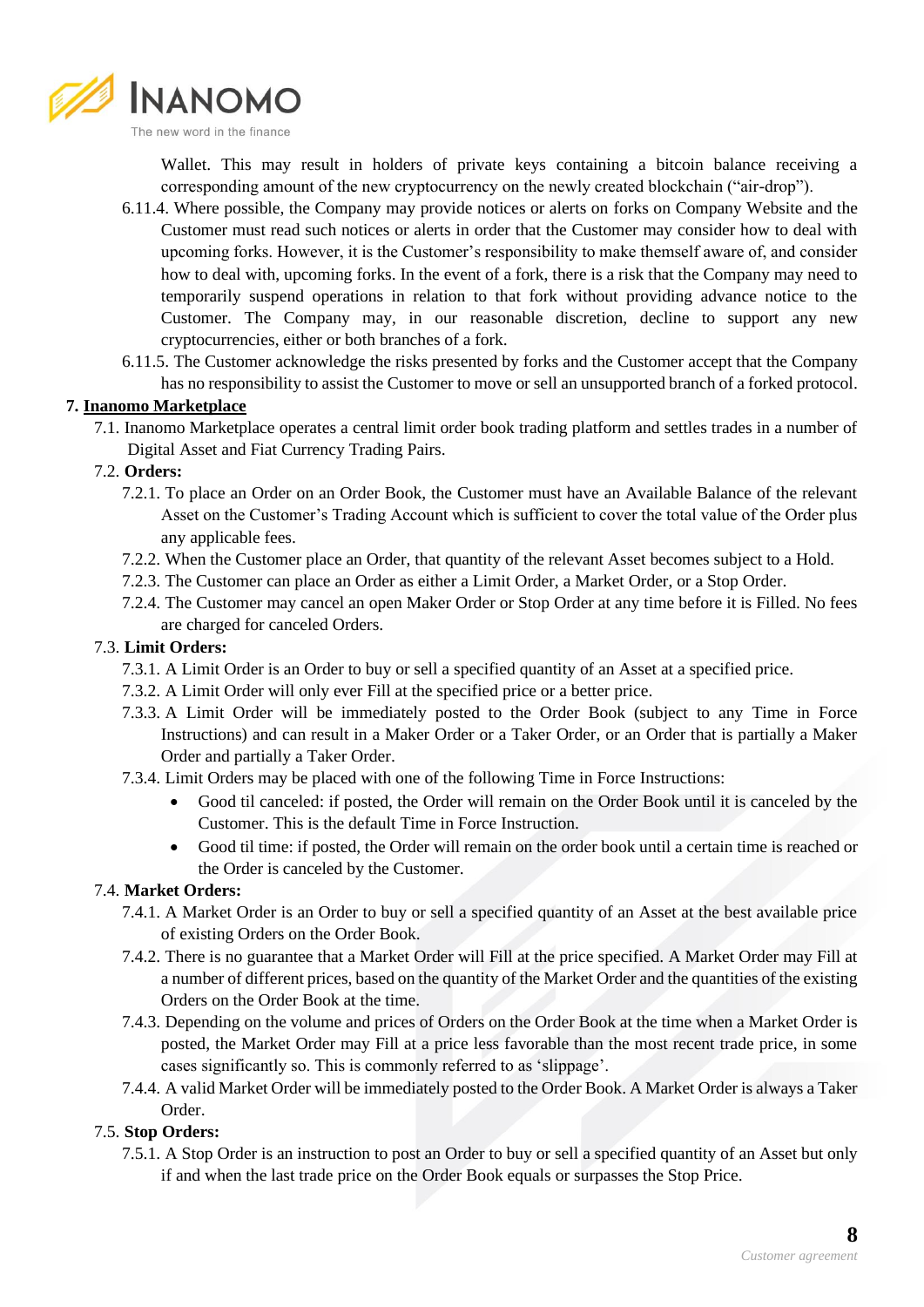

Wallet. This may result in holders of private keys containing a bitcoin balance receiving a corresponding amount of the new cryptocurrency on the newly created blockchain ("air-drop").

- 6.11.4. Where possible, the Company may provide notices or alerts on forks on Company Website and the Customer must read such notices or alerts in order that the Customer may consider how to deal with upcoming forks. However, it is the Customer's responsibility to make themself aware of, and consider how to deal with, upcoming forks. In the event of a fork, there is a risk that the Company may need to temporarily suspend operations in relation to that fork without providing advance notice to the Customer. The Company may, in our reasonable discretion, decline to support any new cryptocurrencies, either or both branches of a fork.
- 6.11.5. The Customer acknowledge the risks presented by forks and the Customer accept that the Company has no responsibility to assist the Customer to move or sell an unsupported branch of a forked protocol.

## **7. Inanomo Marketplace**

7.1. Inanomo Marketplace operates a central limit order book trading platform and settles trades in a number of Digital Asset and Fiat Currency Trading Pairs.

### 7.2. **Orders:**

- 7.2.1. To place an Order on an Order Book, the Customer must have an Available Balance of the relevant Asset on the Customer's Trading Account which is sufficient to cover the total value of the Order plus any applicable fees.
- 7.2.2. When the Customer place an Order, that quantity of the relevant Asset becomes subject to a Hold.
- 7.2.3. The Customer can place an Order as either a Limit Order, a Market Order, or a Stop Order.
- 7.2.4. The Customer may cancel an open Maker Order or Stop Order at any time before it is Filled. No fees are charged for canceled Orders.

### 7.3. **Limit Orders:**

- 7.3.1. A Limit Order is an Order to buy or sell a specified quantity of an Asset at a specified price.
- 7.3.2. A Limit Order will only ever Fill at the specified price or a better price.
- 7.3.3. A Limit Order will be immediately posted to the Order Book (subject to any Time in Force Instructions) and can result in a Maker Order or a Taker Order, or an Order that is partially a Maker Order and partially a Taker Order.
- 7.3.4. Limit Orders may be placed with one of the following Time in Force Instructions:
	- Good til canceled: if posted, the Order will remain on the Order Book until it is canceled by the Customer. This is the default Time in Force Instruction.
	- Good til time: if posted, the Order will remain on the order book until a certain time is reached or the Order is canceled by the Customer.

### 7.4. **Market Orders:**

- 7.4.1. A Market Order is an Order to buy or sell a specified quantity of an Asset at the best available price of existing Orders on the Order Book.
- 7.4.2. There is no guarantee that a Market Order will Fill at the price specified. A Market Order may Fill at a number of different prices, based on the quantity of the Market Order and the quantities of the existing Orders on the Order Book at the time.
- 7.4.3. Depending on the volume and prices of Orders on the Order Book at the time when a Market Order is posted, the Market Order may Fill at a price less favorable than the most recent trade price, in some cases significantly so. This is commonly referred to as 'slippage'.
- 7.4.4. A valid Market Order will be immediately posted to the Order Book. A Market Order is always a Taker Order.

# 7.5. **Stop Orders:**

7.5.1. A Stop Order is an instruction to post an Order to buy or sell a specified quantity of an Asset but only if and when the last trade price on the Order Book equals or surpasses the Stop Price.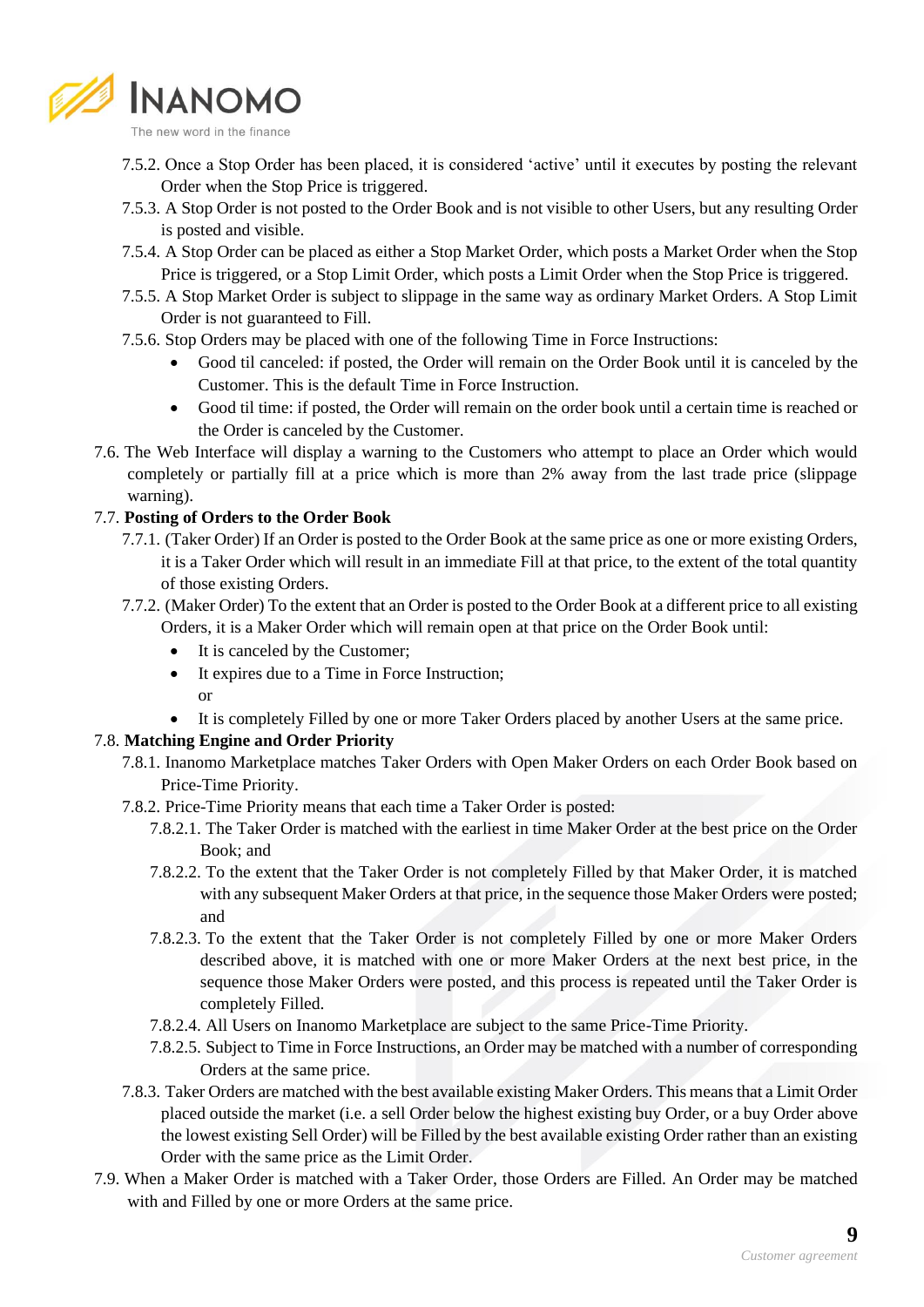

- 
- 7.5.2. Once a Stop Order has been placed, it is considered 'active' until it executes by posting the relevant Order when the Stop Price is triggered.
- 7.5.3. A Stop Order is not posted to the Order Book and is not visible to other Users, but any resulting Order is posted and visible.
- 7.5.4. A Stop Order can be placed as either a Stop Market Order, which posts a Market Order when the Stop Price is triggered, or a Stop Limit Order, which posts a Limit Order when the Stop Price is triggered.
- 7.5.5. A Stop Market Order is subject to slippage in the same way as ordinary Market Orders. A Stop Limit Order is not guaranteed to Fill.
- 7.5.6. Stop Orders may be placed with one of the following Time in Force Instructions:
	- Good til canceled: if posted, the Order will remain on the Order Book until it is canceled by the Customer. This is the default Time in Force Instruction.
	- Good til time: if posted, the Order will remain on the order book until a certain time is reached or the Order is canceled by the Customer.
- 7.6. The Web Interface will display a warning to the Customers who attempt to place an Order which would completely or partially fill at a price which is more than 2% away from the last trade price (slippage warning).

#### 7.7. **Posting of Orders to the Order Book**

- 7.7.1. (Taker Order) If an Order is posted to the Order Book at the same price as one or more existing Orders, it is a Taker Order which will result in an immediate Fill at that price, to the extent of the total quantity of those existing Orders.
- 7.7.2. (Maker Order) To the extent that an Order is posted to the Order Book at a different price to all existing Orders, it is a Maker Order which will remain open at that price on the Order Book until:
	- It is canceled by the Customer;
	- It expires due to a Time in Force Instruction; or
	- It is completely Filled by one or more Taker Orders placed by another Users at the same price.

#### 7.8. **Matching Engine and Order Priority**

- 7.8.1. Inanomo Marketplace matches Taker Orders with Open Maker Orders on each Order Book based on Price-Time Priority.
- 7.8.2. Price-Time Priority means that each time a Taker Order is posted:
	- 7.8.2.1. The Taker Order is matched with the earliest in time Maker Order at the best price on the Order Book; and
	- 7.8.2.2. To the extent that the Taker Order is not completely Filled by that Maker Order, it is matched with any subsequent Maker Orders at that price, in the sequence those Maker Orders were posted; and
	- 7.8.2.3. To the extent that the Taker Order is not completely Filled by one or more Maker Orders described above, it is matched with one or more Maker Orders at the next best price, in the sequence those Maker Orders were posted, and this process is repeated until the Taker Order is completely Filled.
	- 7.8.2.4. All Users on Inanomo Marketplace are subject to the same Price-Time Priority.
	- 7.8.2.5. Subject to Time in Force Instructions, an Order may be matched with a number of corresponding Orders at the same price.
- 7.8.3. Taker Orders are matched with the best available existing Maker Orders. This means that a Limit Order placed outside the market (i.e. a sell Order below the highest existing buy Order, or a buy Order above the lowest existing Sell Order) will be Filled by the best available existing Order rather than an existing Order with the same price as the Limit Order.
- 7.9. When a Maker Order is matched with a Taker Order, those Orders are Filled. An Order may be matched with and Filled by one or more Orders at the same price.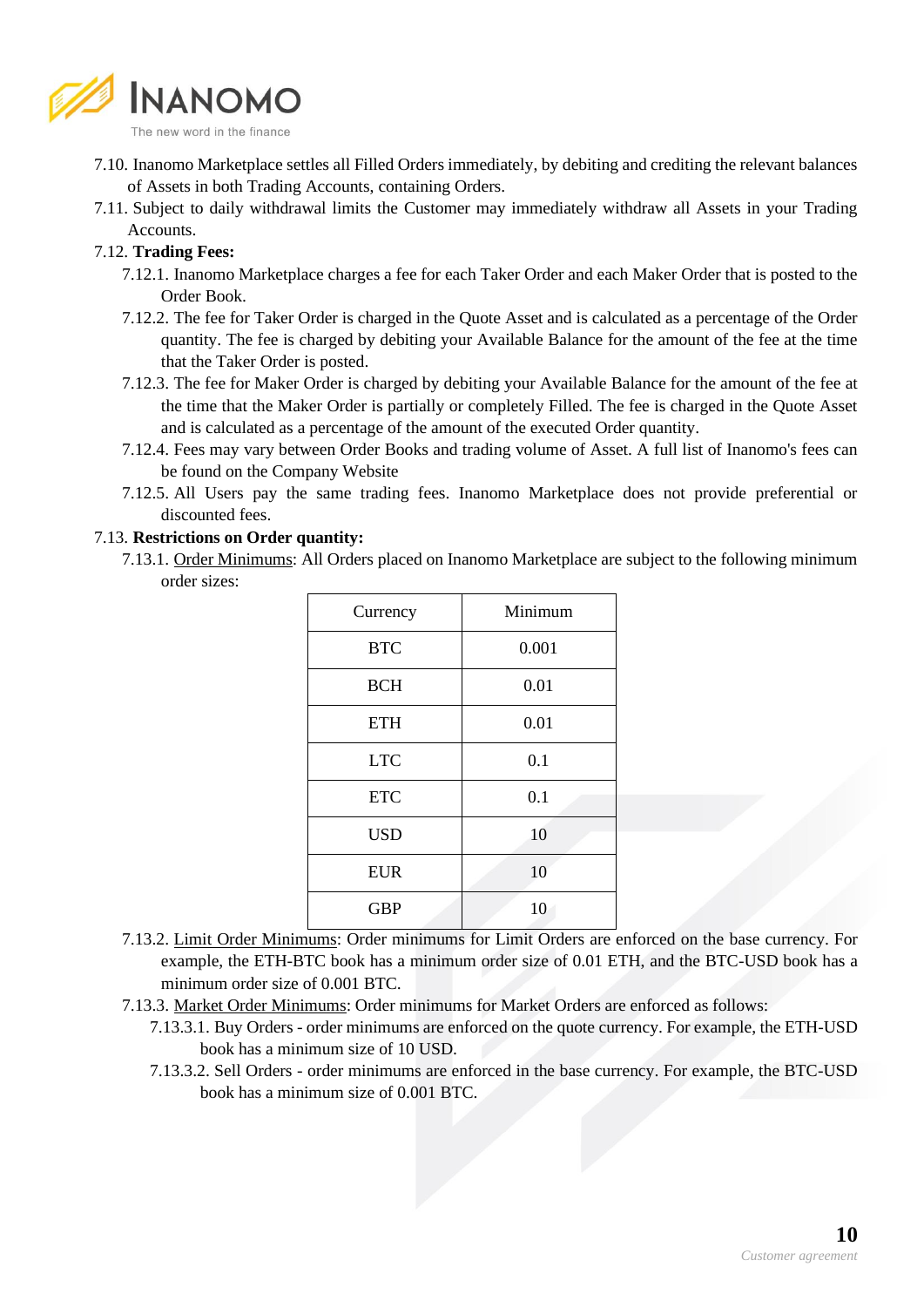

- 7.10. Inanomo Marketplace settles all Filled Orders immediately, by debiting and crediting the relevant balances of Assets in both Trading Accounts, containing Orders.
- 7.11. Subject to daily withdrawal limits the Customer may immediately withdraw all Assets in your Trading Accounts.

## 7.12. **Trading Fees:**

- 7.12.1. Inanomo Marketplace charges a fee for each Taker Order and each Maker Order that is posted to the Order Book.
- 7.12.2. The fee for Taker Order is charged in the Quote Asset and is calculated as a percentage of the Order quantity. The fee is charged by debiting your Available Balance for the amount of the fee at the time that the Taker Order is posted.
- 7.12.3. The fee for Maker Order is charged by debiting your Available Balance for the amount of the fee at the time that the Maker Order is partially or completely Filled. The fee is charged in the Quote Asset and is calculated as a percentage of the amount of the executed Order quantity.
- 7.12.4. Fees may vary between Order Books and trading volume of Asset. A full list of Inanomo's fees can be found on the Company Website
- 7.12.5. All Users pay the same trading fees. Inanomo Marketplace does not provide preferential or discounted fees.

### 7.13. **Restrictions on Order quantity:**

7.13.1. Order Minimums: All Orders placed on Inanomo Marketplace are subject to the following minimum order sizes:

| Currency   | Minimum |
|------------|---------|
| <b>BTC</b> | 0.001   |
| <b>BCH</b> | 0.01    |
| <b>ETH</b> | 0.01    |
| <b>LTC</b> | 0.1     |
| <b>ETC</b> | 0.1     |
| <b>USD</b> | 10      |
| <b>EUR</b> | 10      |
| <b>GBP</b> | 10      |

- 7.13.2. Limit Order Minimums: Order minimums for Limit Orders are enforced on the base currency. For example, the ETH-BTC book has a minimum order size of 0.01 ETH, and the BTC-USD book has a minimum order size of 0.001 BTC.
- 7.13.3. Market Order Minimums: Order minimums for Market Orders are enforced as follows:
	- 7.13.3.1. Buy Orders order minimums are enforced on the quote currency. For example, the ETH-USD book has a minimum size of 10 USD.
	- 7.13.3.2. Sell Orders order minimums are enforced in the base currency. For example, the BTC-USD book has a minimum size of 0.001 BTC.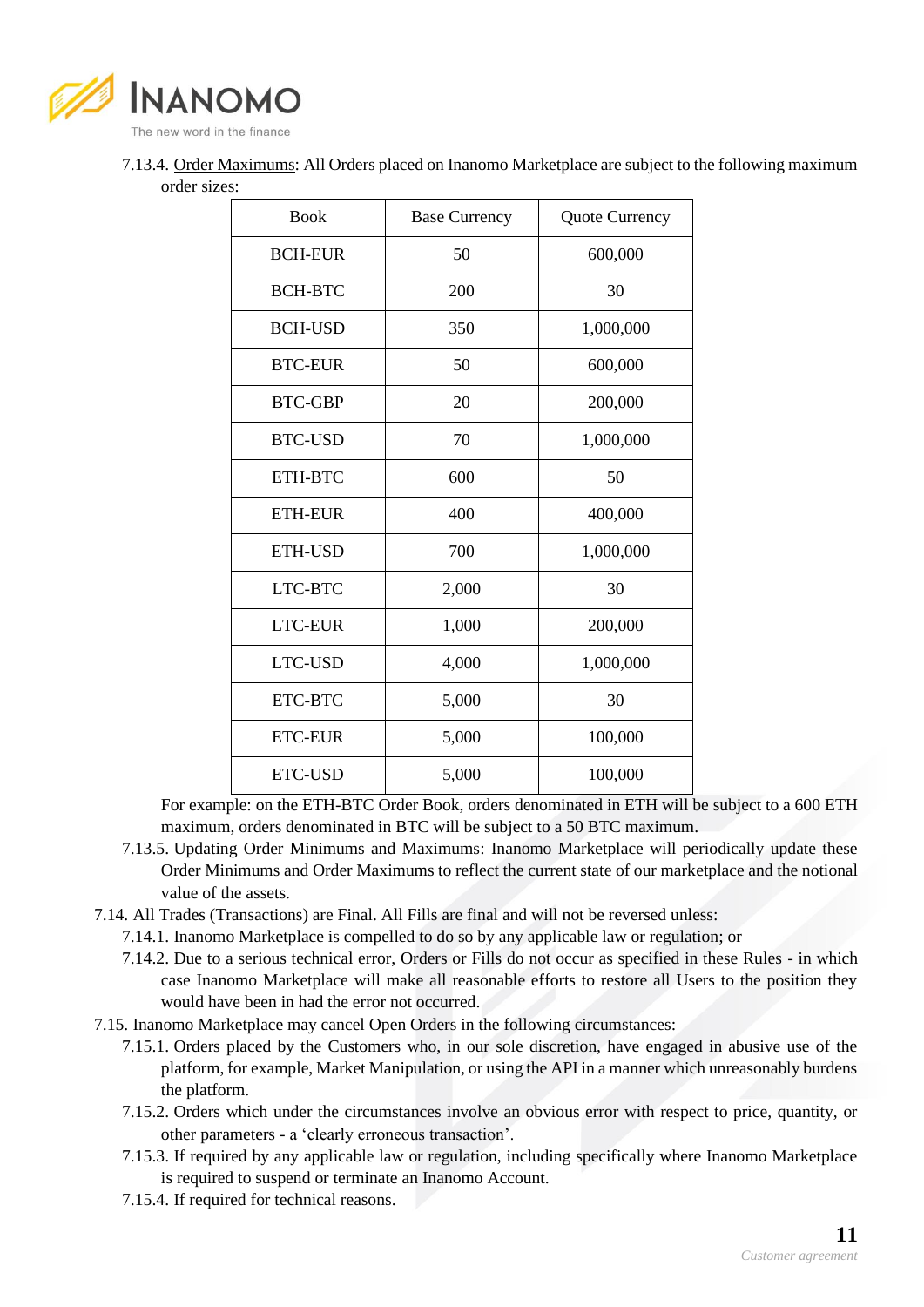

7.13.4. Order Maximums: All Orders placed on Inanomo Marketplace are subject to the following maximum order sizes:

| <b>Book</b>    | <b>Base Currency</b> | Quote Currency |
|----------------|----------------------|----------------|
| <b>BCH-EUR</b> | 50                   | 600,000        |
| <b>BCH-BTC</b> | 200                  | 30             |
| <b>BCH-USD</b> | 350                  | 1,000,000      |
| <b>BTC-EUR</b> | 50                   | 600,000        |
| <b>BTC-GBP</b> | 20                   | 200,000        |
| <b>BTC-USD</b> | 70                   | 1,000,000      |
| ETH-BTC        | 600                  | 50             |
| <b>ETH-EUR</b> | 400                  | 400,000        |
| ETH-USD        | 700                  | 1,000,000      |
| LTC-BTC        | 2,000                | 30             |
| <b>LTC-EUR</b> | 1,000                | 200,000        |
| <b>LTC-USD</b> | 4,000                | 1,000,000      |
| ETC-BTC        | 5,000                | 30             |
| <b>ETC-EUR</b> | 5,000                | 100,000        |
| <b>ETC-USD</b> | 5,000                | 100,000        |

For example: on the ETH-BTC Order Book, orders denominated in ETH will be subject to a 600 ETH maximum, orders denominated in BTC will be subject to a 50 BTC maximum.

- 7.13.5. Updating Order Minimums and Maximums: Inanomo Marketplace will periodically update these Order Minimums and Order Maximums to reflect the current state of our marketplace and the notional value of the assets.
- 7.14. All Trades (Transactions) are Final. All Fills are final and will not be reversed unless:
	- 7.14.1. Inanomo Marketplace is compelled to do so by any applicable law or regulation; or
	- 7.14.2. Due to a serious technical error, Orders or Fills do not occur as specified in these Rules in which case Inanomo Marketplace will make all reasonable efforts to restore all Users to the position they would have been in had the error not occurred.
- 7.15. Inanomo Marketplace may cancel Open Orders in the following circumstances:
	- 7.15.1. Orders placed by the Customers who, in our sole discretion, have engaged in abusive use of the platform, for example, Market Manipulation, or using the API in a manner which unreasonably burdens the platform.
	- 7.15.2. Orders which under the circumstances involve an obvious error with respect to price, quantity, or other parameters - a 'clearly erroneous transaction'.
	- 7.15.3. If required by any applicable law or regulation, including specifically where Inanomo Marketplace is required to suspend or terminate an Inanomo Account.
	- 7.15.4. If required for technical reasons.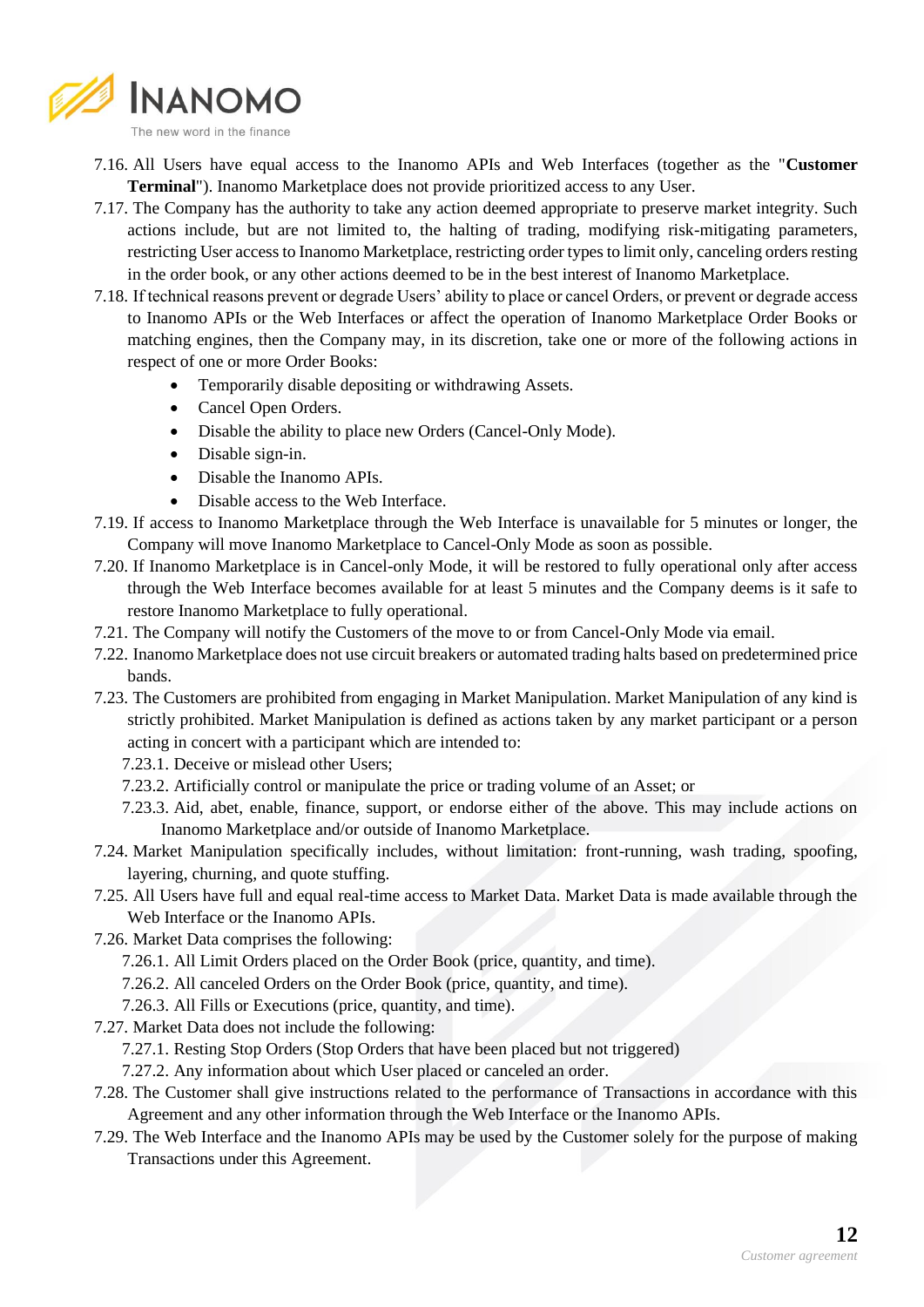

- 7.16. All Users have equal access to the Inanomo APIs and Web Interfaces (together as the "**Customer Terminal**"). Inanomo Marketplace does not provide prioritized access to any User.
- 7.17. The Company has the authority to take any action deemed appropriate to preserve market integrity. Such actions include, but are not limited to, the halting of trading, modifying risk-mitigating parameters, restricting User access to Inanomo Marketplace, restricting order types to limit only, canceling orders resting in the order book, or any other actions deemed to be in the best interest of Inanomo Marketplace.
- 7.18. If technical reasons prevent or degrade Users' ability to place or cancel Orders, or prevent or degrade access to Inanomo APIs or the Web Interfaces or affect the operation of Inanomo Marketplace Order Books or matching engines, then the Company may, in its discretion, take one or more of the following actions in respect of one or more Order Books:
	- Temporarily disable depositing or withdrawing Assets.
	- Cancel Open Orders.
	- Disable the ability to place new Orders (Cancel-Only Mode).
	- Disable sign-in.
	- Disable the Inanomo APIs.
	- Disable access to the Web Interface.
- 7.19. If access to Inanomo Marketplace through the Web Interface is unavailable for 5 minutes or longer, the Company will move Inanomo Marketplace to Cancel-Only Mode as soon as possible.
- 7.20. If Inanomo Marketplace is in Cancel-only Mode, it will be restored to fully operational only after access through the Web Interface becomes available for at least 5 minutes and the Company deems is it safe to restore Inanomo Marketplace to fully operational.
- 7.21. The Company will notify the Customers of the move to or from Cancel-Only Mode via email.
- 7.22. Inanomo Marketplace does not use circuit breakers or automated trading halts based on predetermined price bands.
- 7.23. The Customers are prohibited from engaging in Market Manipulation. Market Manipulation of any kind is strictly prohibited. Market Manipulation is defined as actions taken by any market participant or a person acting in concert with a participant which are intended to:
	- 7.23.1. Deceive or mislead other Users;
	- 7.23.2. Artificially control or manipulate the price or trading volume of an Asset; or
	- 7.23.3. Aid, abet, enable, finance, support, or endorse either of the above. This may include actions on Inanomo Marketplace and/or outside of Inanomo Marketplace.
- 7.24. Market Manipulation specifically includes, without limitation: front-running, wash trading, spoofing, layering, churning, and quote stuffing.
- 7.25. All Users have full and equal real-time access to Market Data. Market Data is made available through the Web Interface or the Inanomo APIs.
- 7.26. Market Data comprises the following:
	- 7.26.1. All Limit Orders placed on the Order Book (price, quantity, and time).
	- 7.26.2. All canceled Orders on the Order Book (price, quantity, and time).
	- 7.26.3. All Fills or Executions (price, quantity, and time).
- 7.27. Market Data does not include the following:
	- 7.27.1. Resting Stop Orders (Stop Orders that have been placed but not triggered)
	- 7.27.2. Any information about which User placed or canceled an order.
- 7.28. The Customer shall give instructions related to the performance of Transactions in accordance with this Agreement and any other information through the Web Interface or the Inanomo APIs.
- 7.29. The Web Interface and the Inanomo APIs may be used by the Customer solely for the purpose of making Transactions under this Agreement.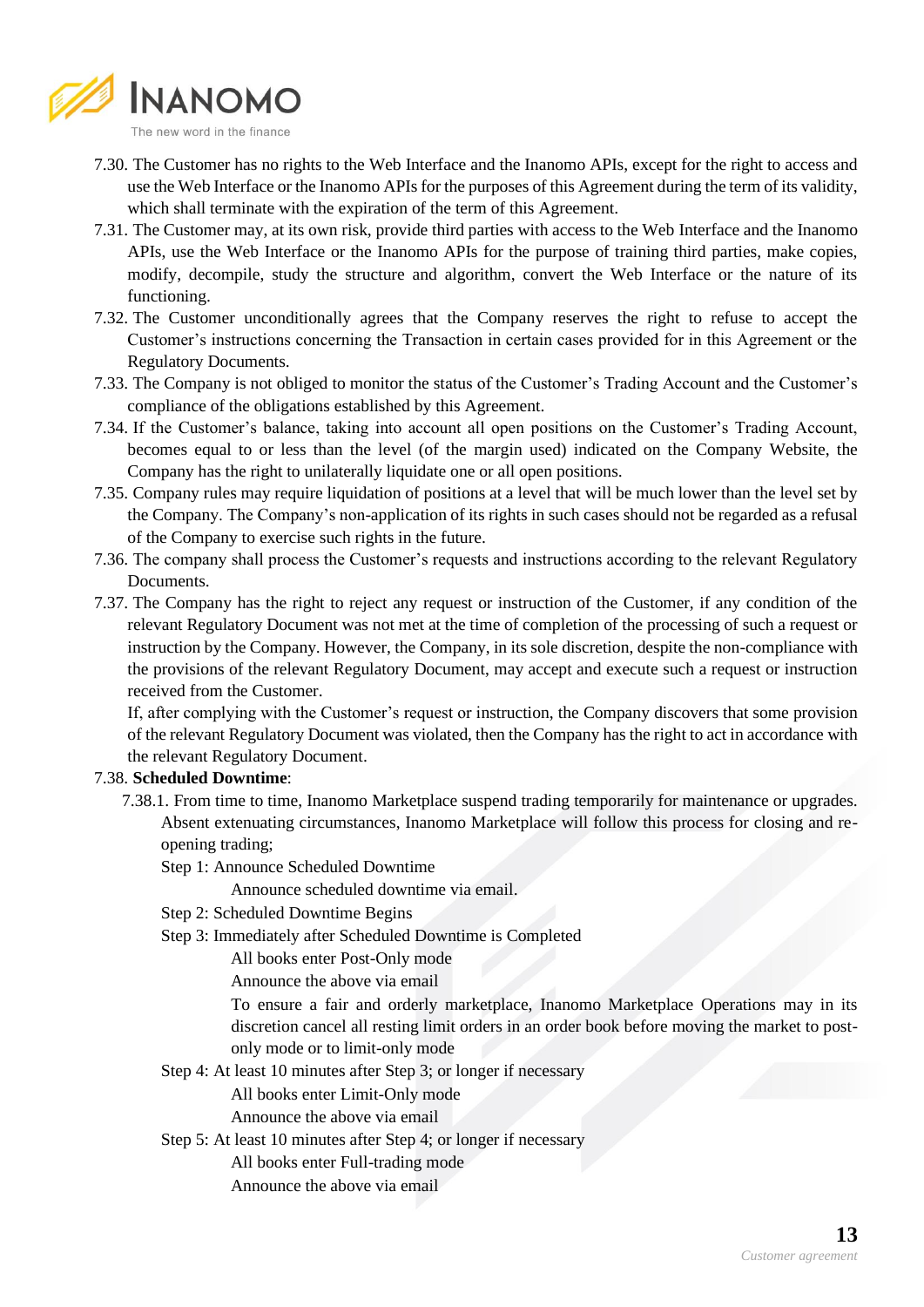

- 7.30. The Customer has no rights to the Web Interface and the Inanomo APIs, except for the right to access and use the Web Interface or the Inanomo APIs for the purposes of this Agreement during the term of its validity, which shall terminate with the expiration of the term of this Agreement.
- 7.31. The Customer may, at its own risk, provide third parties with access to the Web Interface and the Inanomo APIs, use the Web Interface or the Inanomo APIs for the purpose of training third parties, make copies, modify, decompile, study the structure and algorithm, convert the Web Interface or the nature of its functioning.
- 7.32. The Customer unconditionally agrees that the Company reserves the right to refuse to accept the Customer's instructions concerning the Transaction in certain cases provided for in this Agreement or the Regulatory Documents.
- 7.33. The Company is not obliged to monitor the status of the Customer's Trading Account and the Customer's compliance of the obligations established by this Agreement.
- 7.34. If the Customer's balance, taking into account all open positions on the Customer's Trading Account, becomes equal to or less than the level (of the margin used) indicated on the Company Website, the Company has the right to unilaterally liquidate one or all open positions.
- 7.35. Company rules may require liquidation of positions at a level that will be much lower than the level set by the Company. The Company's non-application of its rights in such cases should not be regarded as a refusal of the Company to exercise such rights in the future.
- 7.36. The company shall process the Customer's requests and instructions according to the relevant Regulatory Documents.
- 7.37. The Company has the right to reject any request or instruction of the Customer, if any condition of the relevant Regulatory Document was not met at the time of completion of the processing of such a request or instruction by the Company. However, the Company, in its sole discretion, despite the non-compliance with the provisions of the relevant Regulatory Document, may accept and execute such a request or instruction received from the Customer.

If, after complying with the Customer's request or instruction, the Company discovers that some provision of the relevant Regulatory Document was violated, then the Company has the right to act in accordance with the relevant Regulatory Document.

### 7.38. **Scheduled Downtime**:

7.38.1. From time to time, Inanomo Marketplace suspend trading temporarily for maintenance or upgrades. Absent extenuating circumstances, Inanomo Marketplace will follow this process for closing and reopening trading;

Step 1: Announce Scheduled Downtime

Announce scheduled downtime via email.

- Step 2: Scheduled Downtime Begins
- Step 3: Immediately after Scheduled Downtime is Completed

All books enter Post-Only mode

Announce the above via email

To ensure a fair and orderly marketplace, Inanomo Marketplace Operations may in its discretion cancel all resting limit orders in an order book before moving the market to postonly mode or to limit-only mode

- Step 4: At least 10 minutes after Step 3; or longer if necessary
	- All books enter Limit-Only mode
	- Announce the above via email
- Step 5: At least 10 minutes after Step 4; or longer if necessary
	- All books enter Full-trading mode
	- Announce the above via email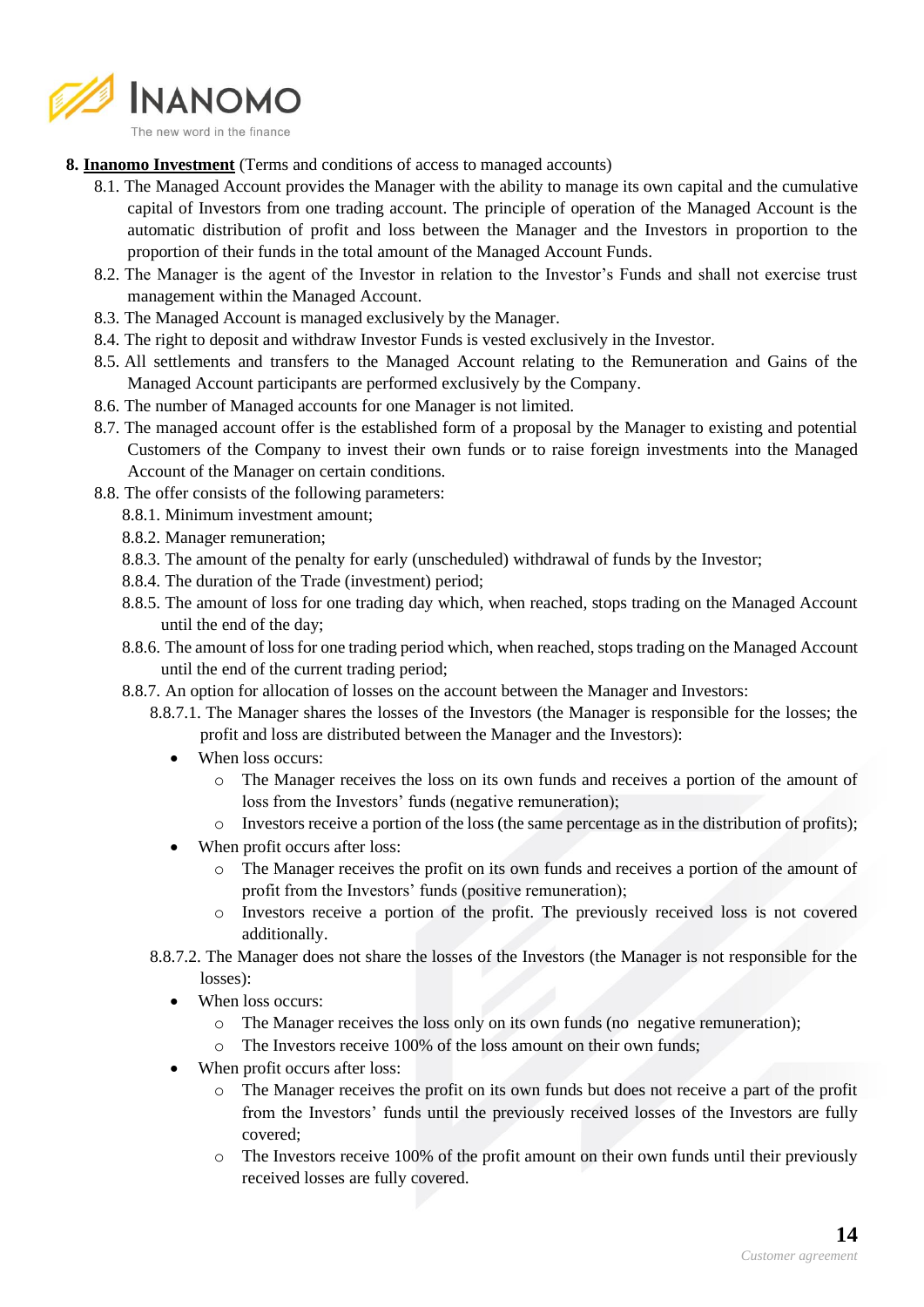

**8. Inanomo Investment** (Terms and conditions of access to managed accounts)

- 8.1. The Managed Account provides the Manager with the ability to manage its own capital and the cumulative capital of Investors from one trading account. The principle of operation of the Managed Account is the automatic distribution of profit and loss between the Manager and the Investors in proportion to the proportion of their funds in the total amount of the Managed Account Funds.
- 8.2. The Manager is the agent of the Investor in relation to the Investor's Funds and shall not exercise trust management within the Managed Account.
- 8.3. The Managed Account is managed exclusively by the Manager.
- 8.4. The right to deposit and withdraw Investor Funds is vested exclusively in the Investor.
- 8.5. All settlements and transfers to the Managed Account relating to the Remuneration and Gains of the Managed Account participants are performed exclusively by the Company.
- 8.6. The number of Managed accounts for one Manager is not limited.
- 8.7. The managed account offer is the established form of a proposal by the Manager to existing and potential Customers of the Company to invest their own funds or to raise foreign investments into the Managed Account of the Manager on certain conditions.
- 8.8. The offer consists of the following parameters:
	- 8.8.1. Minimum investment amount;
	- 8.8.2. Manager remuneration;
	- 8.8.3. The amount of the penalty for early (unscheduled) withdrawal of funds by the Investor;
	- 8.8.4. The duration of the Trade (investment) period;
	- 8.8.5. The amount of loss for one trading day which, when reached, stops trading on the Managed Account until the end of the day;
	- 8.8.6. The amount of loss for one trading period which, when reached, stops trading on the Managed Account until the end of the current trading period;
	- 8.8.7. An option for allocation of losses on the account between the Manager and Investors:
		- 8.8.7.1. The Manager shares the losses of the Investors (the Manager is responsible for the losses; the profit and loss are distributed between the Manager and the Investors):
			- When loss occurs:
				- o The Manager receives the loss on its own funds and receives a portion of the amount of loss from the Investors' funds (negative remuneration);
				- o Investors receive a portion of the loss (the same percentage as in the distribution of profits);
			- When profit occurs after loss:
				- o The Manager receives the profit on its own funds and receives a portion of the amount of profit from the Investors' funds (positive remuneration);
				- o Investors receive a portion of the profit. The previously received loss is not covered additionally.
		- 8.8.7.2. The Manager does not share the losses of the Investors (the Manager is not responsible for the losses):
			- When loss occurs:
				- o The Manager receives the loss only on its own funds (no negative remuneration);
				- o The Investors receive 100% of the loss amount on their own funds;
			- When profit occurs after loss:
				- o The Manager receives the profit on its own funds but does not receive a part of the profit from the Investors' funds until the previously received losses of the Investors are fully covered;
				- o The Investors receive 100% of the profit amount on their own funds until their previously received losses are fully covered.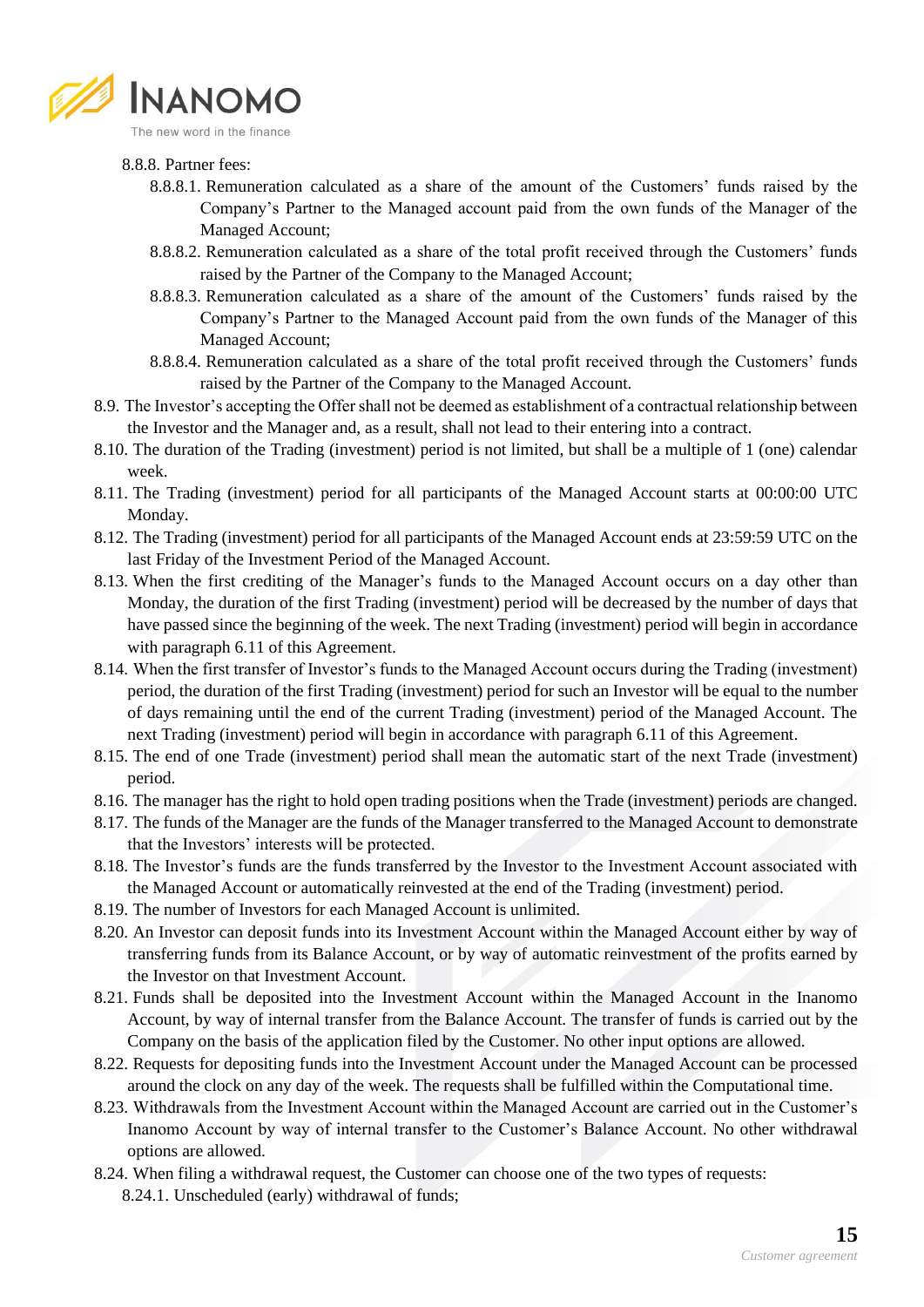

#### 8.8.8. Partner fees:

- 8.8.8.1. Remuneration calculated as a share of the amount of the Customers' funds raised by the Company's Partner to the Managed account paid from the own funds of the Manager of the Managed Account;
- 8.8.8.2. Remuneration calculated as a share of the total profit received through the Customers' funds raised by the Partner of the Company to the Managed Account;
- 8.8.8.3. Remuneration calculated as a share of the amount of the Customers' funds raised by the Company's Partner to the Managed Account paid from the own funds of the Manager of this Managed Account;
- 8.8.8.4. Remuneration calculated as a share of the total profit received through the Customers' funds raised by the Partner of the Company to the Managed Account.
- 8.9. The Investor's accepting the Offer shall not be deemed as establishment of a contractual relationship between the Investor and the Manager and, as a result, shall not lead to their entering into a contract.
- 8.10. The duration of the Trading (investment) period is not limited, but shall be a multiple of 1 (one) calendar week.
- 8.11. The Trading (investment) period for all participants of the Managed Account starts at 00:00:00 UTC Monday.
- 8.12. The Trading (investment) period for all participants of the Managed Account ends at 23:59:59 UTC on the last Friday of the Investment Period of the Managed Account.
- 8.13. When the first crediting of the Manager's funds to the Managed Account occurs on a day other than Monday, the duration of the first Trading (investment) period will be decreased by the number of days that have passed since the beginning of the week. The next Trading (investment) period will begin in accordance with paragraph 6.11 of this Agreement.
- 8.14. When the first transfer of Investor's funds to the Managed Account occurs during the Trading (investment) period, the duration of the first Trading (investment) period for such an Investor will be equal to the number of days remaining until the end of the current Trading (investment) period of the Managed Account. The next Trading (investment) period will begin in accordance with paragraph 6.11 of this Agreement.
- 8.15. The end of one Trade (investment) period shall mean the automatic start of the next Trade (investment) period.
- 8.16. The manager has the right to hold open trading positions when the Trade (investment) periods are changed.
- 8.17. The funds of the Manager are the funds of the Manager transferred to the Managed Account to demonstrate that the Investors' interests will be protected.
- 8.18. The Investor's funds are the funds transferred by the Investor to the Investment Account associated with the Managed Account or automatically reinvested at the end of the Trading (investment) period.
- 8.19. The number of Investors for each Managed Account is unlimited.
- 8.20. An Investor can deposit funds into its Investment Account within the Managed Account either by way of transferring funds from its Balance Account, or by way of automatic reinvestment of the profits earned by the Investor on that Investment Account.
- 8.21. Funds shall be deposited into the Investment Account within the Managed Account in the Inanomo Account, by way of internal transfer from the Balance Account. The transfer of funds is carried out by the Company on the basis of the application filed by the Customer. No other input options are allowed.
- 8.22. Requests for depositing funds into the Investment Account under the Managed Account can be processed around the clock on any day of the week. The requests shall be fulfilled within the Computational time.
- 8.23. Withdrawals from the Investment Account within the Managed Account are carried out in the Customer's Inanomo Account by way of internal transfer to the Customer's Balance Account. No other withdrawal options are allowed.
- 8.24. When filing a withdrawal request, the Customer can choose one of the two types of requests: 8.24.1. Unscheduled (early) withdrawal of funds;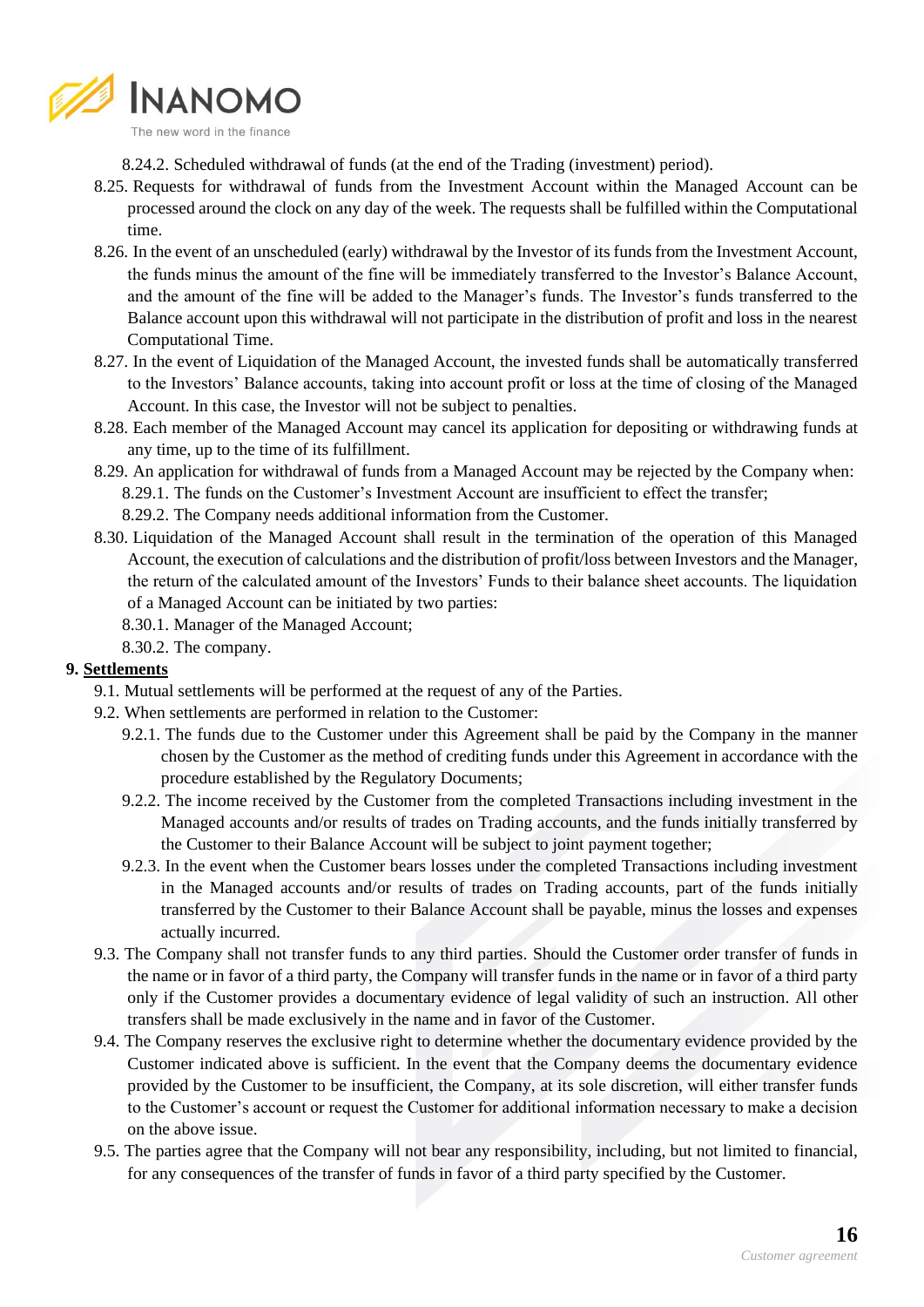

8.24.2. Scheduled withdrawal of funds (at the end of the Trading (investment) period).

- 8.25. Requests for withdrawal of funds from the Investment Account within the Managed Account can be processed around the clock on any day of the week. The requests shall be fulfilled within the Computational time.
- 8.26. In the event of an unscheduled (early) withdrawal by the Investor of its funds from the Investment Account, the funds minus the amount of the fine will be immediately transferred to the Investor's Balance Account, and the amount of the fine will be added to the Manager's funds. The Investor's funds transferred to the Balance account upon this withdrawal will not participate in the distribution of profit and loss in the nearest Computational Time.
- 8.27. In the event of Liquidation of the Managed Account, the invested funds shall be automatically transferred to the Investors' Balance accounts, taking into account profit or loss at the time of closing of the Managed Account. In this case, the Investor will not be subject to penalties.
- 8.28. Each member of the Managed Account may cancel its application for depositing or withdrawing funds at any time, up to the time of its fulfillment.
- 8.29. An application for withdrawal of funds from a Managed Account may be rejected by the Company when: 8.29.1. The funds on the Customer's Investment Account are insufficient to effect the transfer; 8.29.2. The Company needs additional information from the Customer.
- 8.30. Liquidation of the Managed Account shall result in the termination of the operation of this Managed Account, the execution of calculations and the distribution of profit/loss between Investors and the Manager, the return of the calculated amount of the Investors' Funds to their balance sheet accounts. The liquidation of a Managed Account can be initiated by two parties:
	- 8.30.1. Manager of the Managed Account;

8.30.2. The company.

### **9. Settlements**

- 9.1. Mutual settlements will be performed at the request of any of the Parties.
- 9.2. When settlements are performed in relation to the Customer:
	- 9.2.1. The funds due to the Customer under this Agreement shall be paid by the Company in the manner chosen by the Customer as the method of crediting funds under this Agreement in accordance with the procedure established by the Regulatory Documents;
	- 9.2.2. The income received by the Customer from the completed Transactions including investment in the Managed accounts and/or results of trades on Trading accounts, and the funds initially transferred by the Customer to their Balance Account will be subject to joint payment together;
	- 9.2.3. In the event when the Customer bears losses under the completed Transactions including investment in the Managed accounts and/or results of trades on Trading accounts, part of the funds initially transferred by the Customer to their Balance Account shall be payable, minus the losses and expenses actually incurred.
- 9.3. The Company shall not transfer funds to any third parties. Should the Customer order transfer of funds in the name or in favor of a third party, the Company will transfer funds in the name or in favor of a third party only if the Customer provides a documentary evidence of legal validity of such an instruction. All other transfers shall be made exclusively in the name and in favor of the Customer.
- 9.4. The Company reserves the exclusive right to determine whether the documentary evidence provided by the Customer indicated above is sufficient. In the event that the Company deems the documentary evidence provided by the Customer to be insufficient, the Company, at its sole discretion, will either transfer funds to the Customer's account or request the Customer for additional information necessary to make a decision on the above issue.
- 9.5. The parties agree that the Company will not bear any responsibility, including, but not limited to financial, for any consequences of the transfer of funds in favor of a third party specified by the Customer.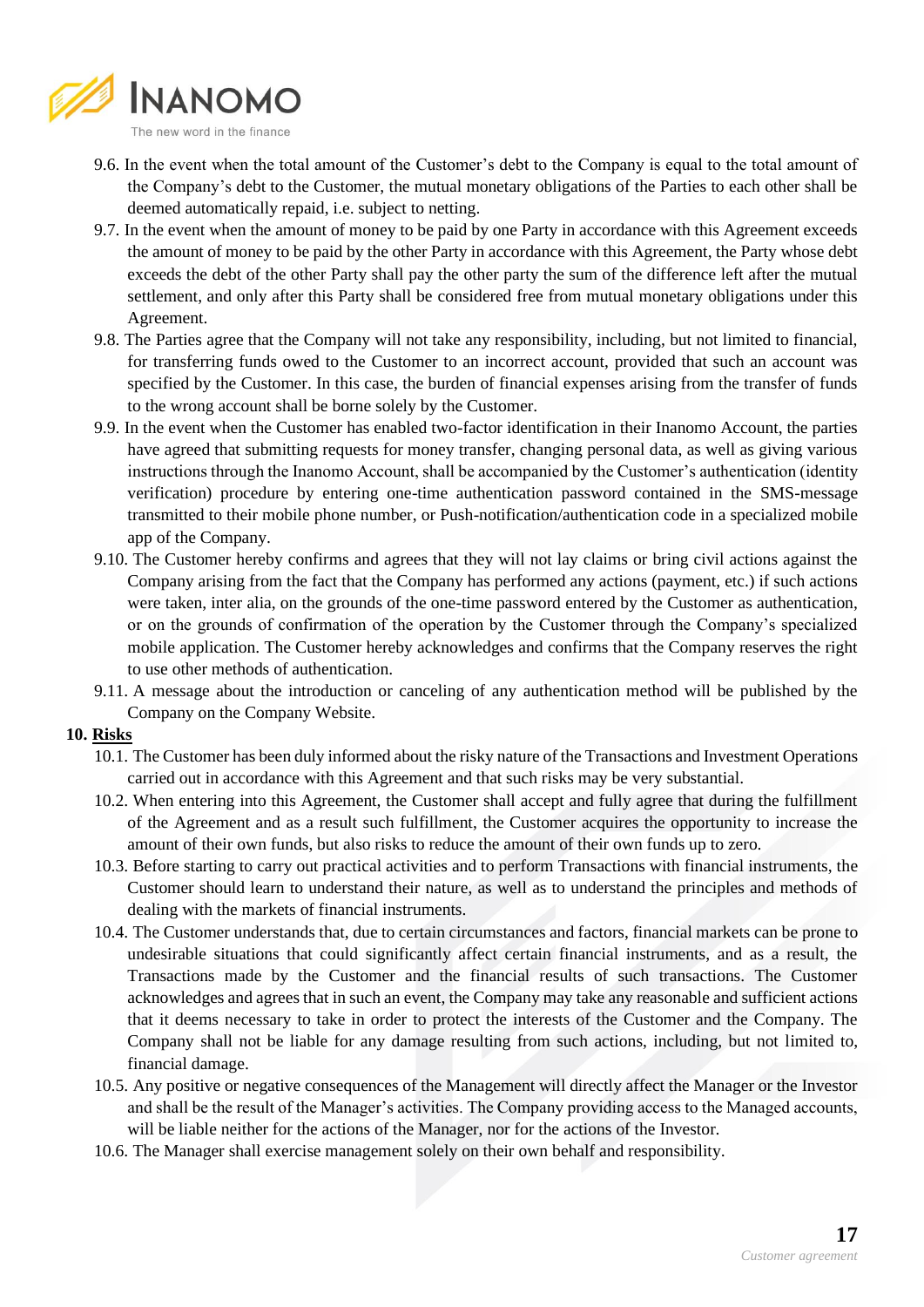

- 9.6. In the event when the total amount of the Customer's debt to the Company is equal to the total amount of the Company's debt to the Customer, the mutual monetary obligations of the Parties to each other shall be deemed automatically repaid, i.e. subject to netting.
- 9.7. In the event when the amount of money to be paid by one Party in accordance with this Agreement exceeds the amount of money to be paid by the other Party in accordance with this Agreement, the Party whose debt exceeds the debt of the other Party shall pay the other party the sum of the difference left after the mutual settlement, and only after this Party shall be considered free from mutual monetary obligations under this Agreement.
- 9.8. The Parties agree that the Company will not take any responsibility, including, but not limited to financial, for transferring funds owed to the Customer to an incorrect account, provided that such an account was specified by the Customer. In this case, the burden of financial expenses arising from the transfer of funds to the wrong account shall be borne solely by the Customer.
- 9.9. In the event when the Customer has enabled two-factor identification in their Inanomo Account, the parties have agreed that submitting requests for money transfer, changing personal data, as well as giving various instructions through the Inanomo Account, shall be accompanied by the Customer's authentication (identity verification) procedure by entering one-time authentication password contained in the SMS-message transmitted to their mobile phone number, or Push-notification/authentication code in a specialized mobile app of the Company.
- 9.10. The Customer hereby confirms and agrees that they will not lay claims or bring civil actions against the Company arising from the fact that the Company has performed any actions (payment, etc.) if such actions were taken, inter alia, on the grounds of the one-time password entered by the Customer as authentication, or on the grounds of confirmation of the operation by the Customer through the Company's specialized mobile application. The Customer hereby acknowledges and confirms that the Company reserves the right to use other methods of authentication.
- 9.11. A message about the introduction or canceling of any authentication method will be published by the Company on the Company Website.
- **10. Risks**
	- 10.1. The Customer has been duly informed about the risky nature of the Transactions and Investment Operations carried out in accordance with this Agreement and that such risks may be very substantial.
	- 10.2. When entering into this Agreement, the Customer shall accept and fully agree that during the fulfillment of the Agreement and as a result such fulfillment, the Customer acquires the opportunity to increase the amount of their own funds, but also risks to reduce the amount of their own funds up to zero.
	- 10.3. Before starting to carry out practical activities and to perform Transactions with financial instruments, the Customer should learn to understand their nature, as well as to understand the principles and methods of dealing with the markets of financial instruments.
	- 10.4. The Customer understands that, due to certain circumstances and factors, financial markets can be prone to undesirable situations that could significantly affect certain financial instruments, and as a result, the Transactions made by the Customer and the financial results of such transactions. The Customer acknowledges and agrees that in such an event, the Company may take any reasonable and sufficient actions that it deems necessary to take in order to protect the interests of the Customer and the Company. The Company shall not be liable for any damage resulting from such actions, including, but not limited to, financial damage.
	- 10.5. Any positive or negative consequences of the Management will directly affect the Manager or the Investor and shall be the result of the Manager's activities. The Company providing access to the Managed accounts, will be liable neither for the actions of the Manager, nor for the actions of the Investor.
	- 10.6. The Manager shall exercise management solely on their own behalf and responsibility.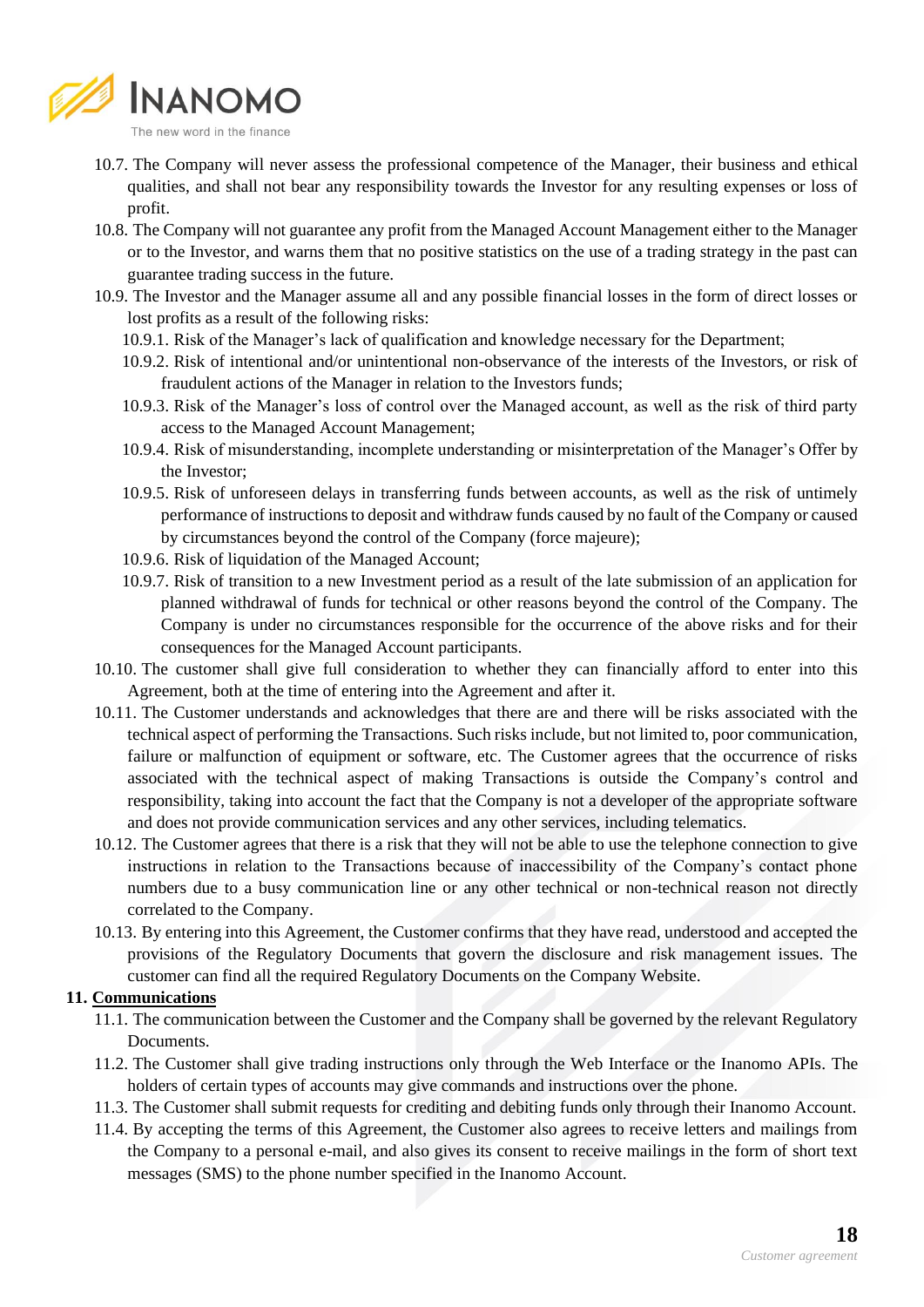

- 10.7. The Company will never assess the professional competence of the Manager, their business and ethical qualities, and shall not bear any responsibility towards the Investor for any resulting expenses or loss of profit.
- 10.8. The Company will not guarantee any profit from the Managed Account Management either to the Manager or to the Investor, and warns them that no positive statistics on the use of a trading strategy in the past can guarantee trading success in the future.
- 10.9. The Investor and the Manager assume all and any possible financial losses in the form of direct losses or lost profits as a result of the following risks:
	- 10.9.1. Risk of the Manager's lack of qualification and knowledge necessary for the Department;
	- 10.9.2. Risk of intentional and/or unintentional non-observance of the interests of the Investors, or risk of fraudulent actions of the Manager in relation to the Investors funds;
	- 10.9.3. Risk of the Manager's loss of control over the Managed account, as well as the risk of third party access to the Managed Account Management;
	- 10.9.4. Risk of misunderstanding, incomplete understanding or misinterpretation of the Manager's Offer by the Investor;
	- 10.9.5. Risk of unforeseen delays in transferring funds between accounts, as well as the risk of untimely performance of instructions to deposit and withdraw funds caused by no fault of the Company or caused by circumstances beyond the control of the Company (force majeure);
	- 10.9.6. Risk of liquidation of the Managed Account;
	- 10.9.7. Risk of transition to a new Investment period as a result of the late submission of an application for planned withdrawal of funds for technical or other reasons beyond the control of the Company. The Company is under no circumstances responsible for the occurrence of the above risks and for their consequences for the Managed Account participants.
- 10.10. The customer shall give full consideration to whether they can financially afford to enter into this Agreement, both at the time of entering into the Agreement and after it.
- 10.11. The Customer understands and acknowledges that there are and there will be risks associated with the technical aspect of performing the Transactions. Such risks include, but not limited to, poor communication, failure or malfunction of equipment or software, etc. The Customer agrees that the occurrence of risks associated with the technical aspect of making Transactions is outside the Company's control and responsibility, taking into account the fact that the Company is not a developer of the appropriate software and does not provide communication services and any other services, including telematics.
- 10.12. The Customer agrees that there is a risk that they will not be able to use the telephone connection to give instructions in relation to the Transactions because of inaccessibility of the Company's contact phone numbers due to a busy communication line or any other technical or non-technical reason not directly correlated to the Company.
- 10.13. By entering into this Agreement, the Customer confirms that they have read, understood and accepted the provisions of the Regulatory Documents that govern the disclosure and risk management issues. The customer can find all the required Regulatory Documents on the Company Website.

### **11. Communications**

- 11.1. The communication between the Customer and the Company shall be governed by the relevant Regulatory Documents.
- 11.2. The Customer shall give trading instructions only through the Web Interface or the Inanomo APIs. The holders of certain types of accounts may give commands and instructions over the phone.
- 11.3. The Customer shall submit requests for crediting and debiting funds only through their Inanomo Account.
- 11.4. By accepting the terms of this Agreement, the Customer also agrees to receive letters and mailings from the Company to a personal e-mail, and also gives its consent to receive mailings in the form of short text messages (SMS) to the phone number specified in the Inanomo Account.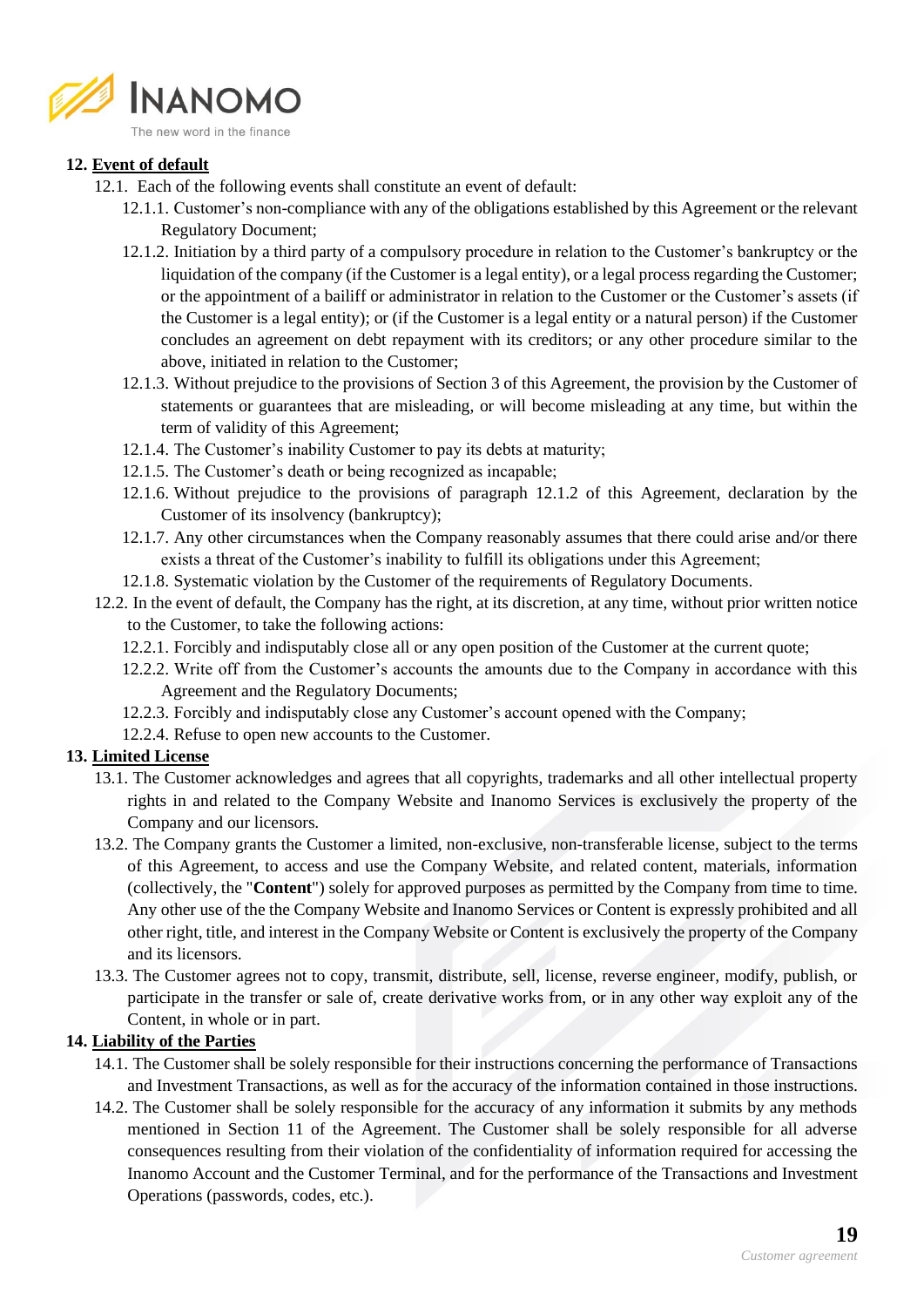

### **12. Event of default**

- 12.1. Each of the following events shall constitute an event of default:
	- 12.1.1. Customer's non-compliance with any of the obligations established by this Agreement or the relevant Regulatory Document;
	- 12.1.2. Initiation by a third party of a compulsory procedure in relation to the Customer's bankruptcy or the liquidation of the company (if the Customer is a legal entity), or a legal process regarding the Customer; or the appointment of a bailiff or administrator in relation to the Customer or the Customer's assets (if the Customer is a legal entity); or (if the Customer is a legal entity or a natural person) if the Customer concludes an agreement on debt repayment with its creditors; or any other procedure similar to the above, initiated in relation to the Customer;
	- 12.1.3. Without prejudice to the provisions of Section 3 of this Agreement, the provision by the Customer of statements or guarantees that are misleading, or will become misleading at any time, but within the term of validity of this Agreement;
	- 12.1.4. The Customer's inability Customer to pay its debts at maturity;
	- 12.1.5. The Customer's death or being recognized as incapable;
	- 12.1.6. Without prejudice to the provisions of paragraph 12.1.2 of this Agreement, declaration by the Customer of its insolvency (bankruptcy);
	- 12.1.7. Any other circumstances when the Company reasonably assumes that there could arise and/or there exists a threat of the Customer's inability to fulfill its obligations under this Agreement;
	- 12.1.8. Systematic violation by the Customer of the requirements of Regulatory Documents.
- 12.2. In the event of default, the Company has the right, at its discretion, at any time, without prior written notice to the Customer, to take the following actions:
	- 12.2.1. Forcibly and indisputably close all or any open position of the Customer at the current quote;
	- 12.2.2. Write off from the Customer's accounts the amounts due to the Company in accordance with this Agreement and the Regulatory Documents;
	- 12.2.3. Forcibly and indisputably close any Customer's account opened with the Company;
	- 12.2.4. Refuse to open new accounts to the Customer.

### **13. Limited License**

- 13.1. The Customer acknowledges and agrees that all copyrights, trademarks and all other intellectual property rights in and related to the Company Website and Inanomo Services is exclusively the property of the Company and our licensors.
- 13.2. The Company grants the Customer a limited, non-exclusive, non-transferable license, subject to the terms of this Agreement, to access and use the Company Website, and related content, materials, information (collectively, the "**Content**") solely for approved purposes as permitted by the Company from time to time. Any other use of the the Company Website and Inanomo Services or Content is expressly prohibited and all other right, title, and interest in the Company Website or Content is exclusively the property of the Company and its licensors.
- 13.3. The Customer agrees not to copy, transmit, distribute, sell, license, reverse engineer, modify, publish, or participate in the transfer or sale of, create derivative works from, or in any other way exploit any of the Content, in whole or in part.

### **14. Liability of the Parties**

- 14.1. The Customer shall be solely responsible for their instructions concerning the performance of Transactions and Investment Transactions, as well as for the accuracy of the information contained in those instructions.
- 14.2. The Customer shall be solely responsible for the accuracy of any information it submits by any methods mentioned in Section 11 of the Agreement. The Customer shall be solely responsible for all adverse consequences resulting from their violation of the confidentiality of information required for accessing the Inanomo Account and the Customer Terminal, and for the performance of the Transactions and Investment Operations (passwords, codes, etc.).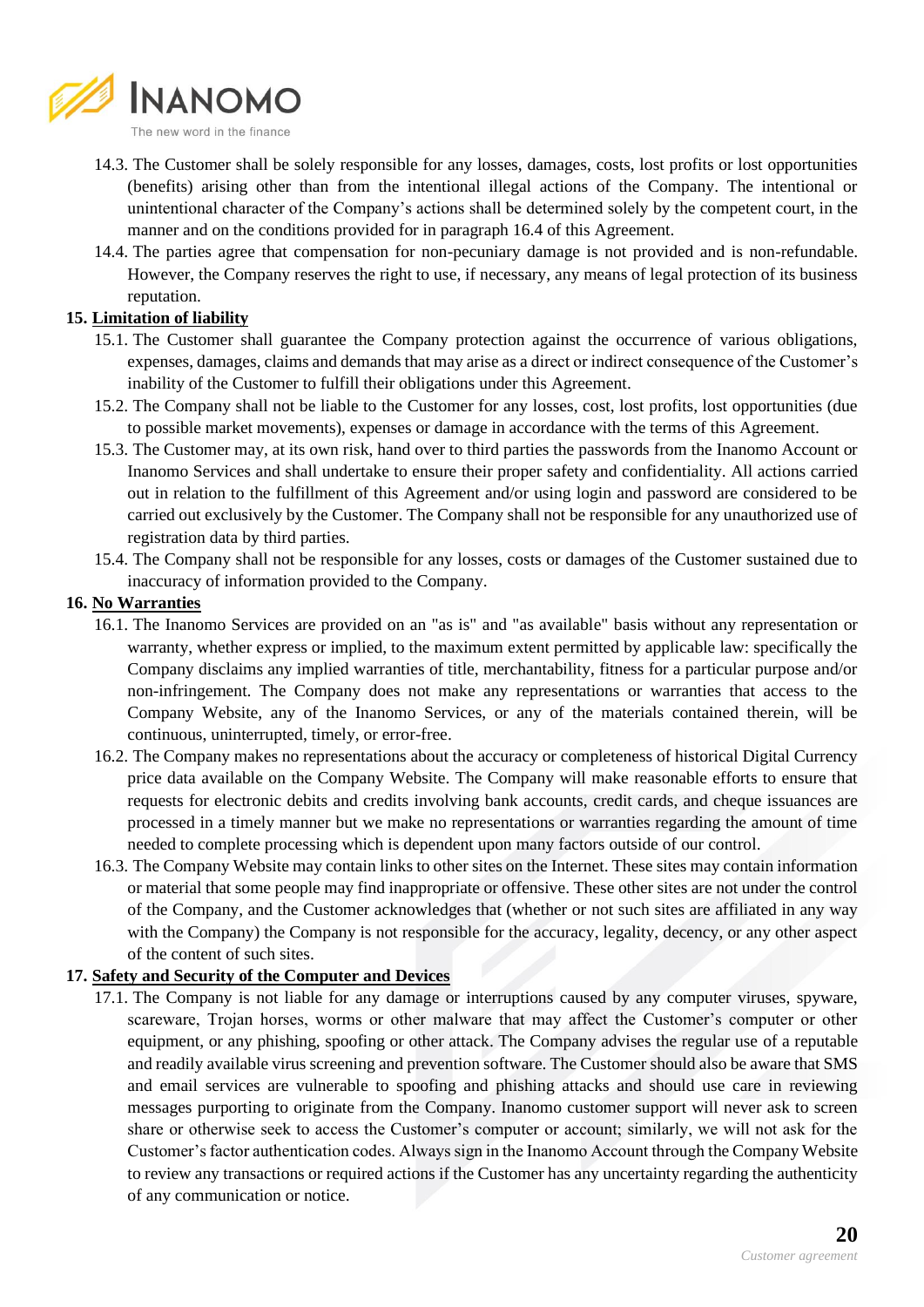

- 14.3. The Customer shall be solely responsible for any losses, damages, costs, lost profits or lost opportunities (benefits) arising other than from the intentional illegal actions of the Company. The intentional or unintentional character of the Company's actions shall be determined solely by the competent court, in the manner and on the conditions provided for in paragraph 16.4 of this Agreement.
- 14.4. The parties agree that compensation for non-pecuniary damage is not provided and is non-refundable. However, the Company reserves the right to use, if necessary, any means of legal protection of its business reputation.

### **15. Limitation of liability**

- 15.1. The Customer shall guarantee the Company protection against the occurrence of various obligations, expenses, damages, claims and demands that may arise as a direct or indirect consequence of the Customer's inability of the Customer to fulfill their obligations under this Agreement.
- 15.2. The Company shall not be liable to the Customer for any losses, cost, lost profits, lost opportunities (due to possible market movements), expenses or damage in accordance with the terms of this Agreement.
- 15.3. The Customer may, at its own risk, hand over to third parties the passwords from the Inanomo Account or Inanomo Services and shall undertake to ensure their proper safety and confidentiality. All actions carried out in relation to the fulfillment of this Agreement and/or using login and password are considered to be carried out exclusively by the Customer. The Company shall not be responsible for any unauthorized use of registration data by third parties.
- 15.4. The Company shall not be responsible for any losses, costs or damages of the Customer sustained due to inaccuracy of information provided to the Company.

### **16. No Warranties**

- 16.1. The Inanomo Services are provided on an "as is" and "as available" basis without any representation or warranty, whether express or implied, to the maximum extent permitted by applicable law: specifically the Company disclaims any implied warranties of title, merchantability, fitness for a particular purpose and/or non-infringement. The Company does not make any representations or warranties that access to the Company Website, any of the Inanomo Services, or any of the materials contained therein, will be continuous, uninterrupted, timely, or error-free.
- 16.2. The Company makes no representations about the accuracy or completeness of historical Digital Currency price data available on the Company Website. The Company will make reasonable efforts to ensure that requests for electronic debits and credits involving bank accounts, credit cards, and cheque issuances are processed in a timely manner but we make no representations or warranties regarding the amount of time needed to complete processing which is dependent upon many factors outside of our control.
- 16.3. The Company Website may contain links to other sites on the Internet. These sites may contain information or material that some people may find inappropriate or offensive. These other sites are not under the control of the Company, and the Customer acknowledges that (whether or not such sites are affiliated in any way with the Company) the Company is not responsible for the accuracy, legality, decency, or any other aspect of the content of such sites.

### **17. Safety and Security of the Computer and Devices**

17.1. The Company is not liable for any damage or interruptions caused by any computer viruses, spyware, scareware, Trojan horses, worms or other malware that may affect the Customer's computer or other equipment, or any phishing, spoofing or other attack. The Company advises the regular use of a reputable and readily available virus screening and prevention software. The Customer should also be aware that SMS and email services are vulnerable to spoofing and phishing attacks and should use care in reviewing messages purporting to originate from the Company. Inanomo customer support will never ask to screen share or otherwise seek to access the Customer's computer or account; similarly, we will not ask for the Customer's factor authentication codes. Always sign in the Inanomo Account through the Company Website to review any transactions or required actions if the Customer has any uncertainty regarding the authenticity of any communication or notice.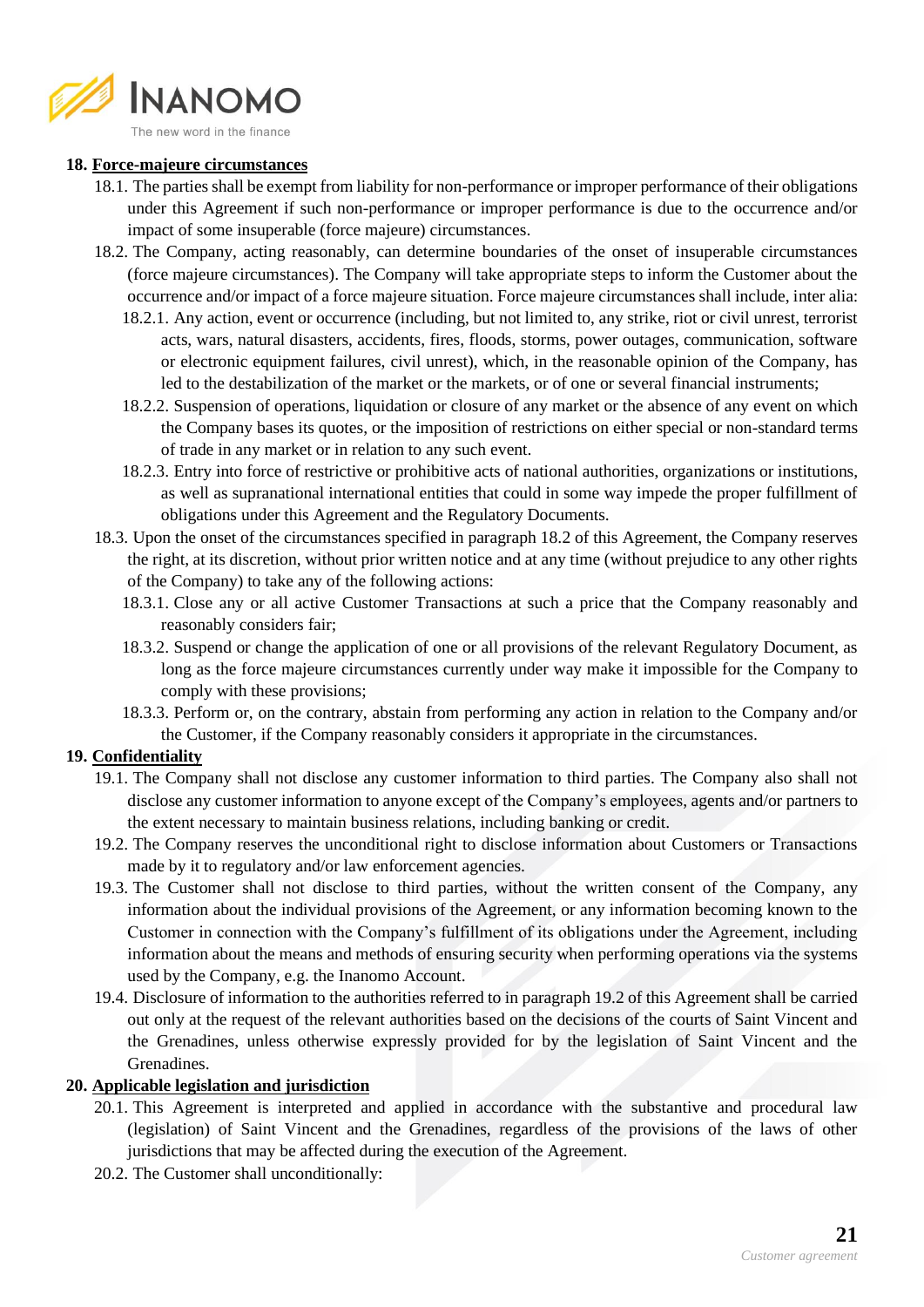

# **18. Force-majeure circumstances**

- 18.1. The parties shall be exempt from liability for non-performance or improper performance of their obligations under this Agreement if such non-performance or improper performance is due to the occurrence and/or impact of some insuperable (force majeure) circumstances.
- 18.2. The Company, acting reasonably, can determine boundaries of the onset of insuperable circumstances (force majeure circumstances). The Company will take appropriate steps to inform the Customer about the occurrence and/or impact of a force majeure situation. Force majeure circumstances shall include, inter alia:
	- 18.2.1. Any action, event or occurrence (including, but not limited to, any strike, riot or civil unrest, terrorist acts, wars, natural disasters, accidents, fires, floods, storms, power outages, communication, software or electronic equipment failures, civil unrest), which, in the reasonable opinion of the Company, has led to the destabilization of the market or the markets, or of one or several financial instruments;
	- 18.2.2. Suspension of operations, liquidation or closure of any market or the absence of any event on which the Company bases its quotes, or the imposition of restrictions on either special or non-standard terms of trade in any market or in relation to any such event.
	- 18.2.3. Entry into force of restrictive or prohibitive acts of national authorities, organizations or institutions, as well as supranational international entities that could in some way impede the proper fulfillment of obligations under this Agreement and the Regulatory Documents.
- 18.3. Upon the onset of the circumstances specified in paragraph 18.2 of this Agreement, the Company reserves the right, at its discretion, without prior written notice and at any time (without prejudice to any other rights of the Company) to take any of the following actions:
	- 18.3.1. Close any or all active Customer Transactions at such a price that the Company reasonably and reasonably considers fair;
	- 18.3.2. Suspend or change the application of one or all provisions of the relevant Regulatory Document, as long as the force majeure circumstances currently under way make it impossible for the Company to comply with these provisions;
	- 18.3.3. Perform or, on the contrary, abstain from performing any action in relation to the Company and/or the Customer, if the Company reasonably considers it appropriate in the circumstances.

# **19. Confidentiality**

- 19.1. The Company shall not disclose any customer information to third parties. The Company also shall not disclose any customer information to anyone except of the Company's employees, agents and/or partners to the extent necessary to maintain business relations, including banking or credit.
- 19.2. The Company reserves the unconditional right to disclose information about Customers or Transactions made by it to regulatory and/or law enforcement agencies.
- 19.3. The Customer shall not disclose to third parties, without the written consent of the Company, any information about the individual provisions of the Agreement, or any information becoming known to the Customer in connection with the Company's fulfillment of its obligations under the Agreement, including information about the means and methods of ensuring security when performing operations via the systems used by the Company, e.g. the Inanomo Account.
- 19.4. Disclosure of information to the authorities referred to in paragraph 19.2 of this Agreement shall be carried out only at the request of the relevant authorities based on the decisions of the courts of Saint Vincent and the Grenadines, unless otherwise expressly provided for by the legislation of Saint Vincent and the Grenadines.

### **20. Applicable legislation and jurisdiction**

- 20.1. This Agreement is interpreted and applied in accordance with the substantive and procedural law (legislation) of Saint Vincent and the Grenadines, regardless of the provisions of the laws of other jurisdictions that may be affected during the execution of the Agreement.
- 20.2. The Customer shall unconditionally: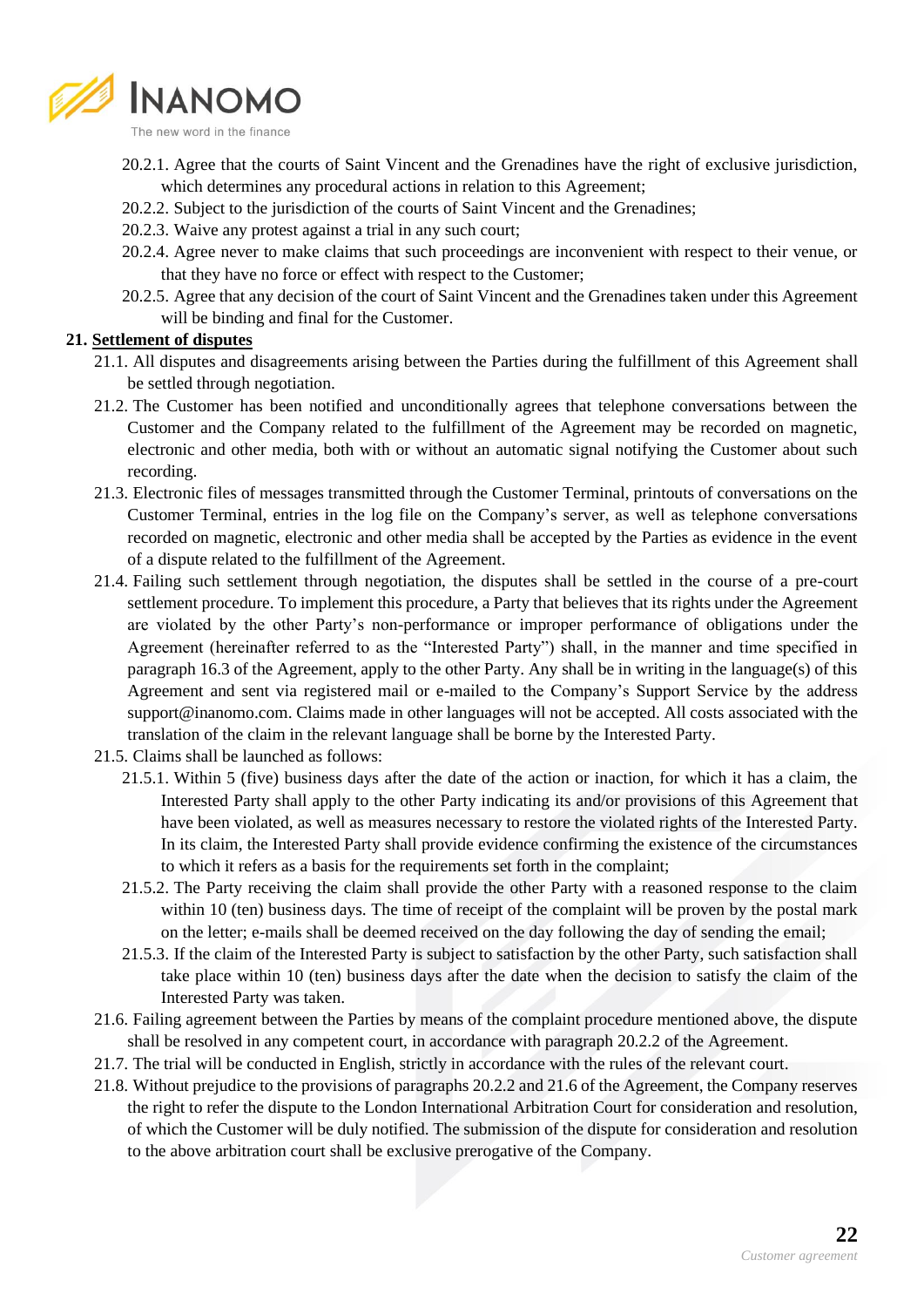

The new word in the finance

- 20.2.1. Agree that the courts of Saint Vincent and the Grenadines have the right of exclusive jurisdiction, which determines any procedural actions in relation to this Agreement;
- 20.2.2. Subject to the jurisdiction of the courts of Saint Vincent and the Grenadines;
- 20.2.3. Waive any protest against a trial in any such court;
- 20.2.4. Agree never to make claims that such proceedings are inconvenient with respect to their venue, or that they have no force or effect with respect to the Customer;
- 20.2.5. Agree that any decision of the court of Saint Vincent and the Grenadines taken under this Agreement will be binding and final for the Customer.

### **21. Settlement of disputes**

- 21.1. All disputes and disagreements arising between the Parties during the fulfillment of this Agreement shall be settled through negotiation.
- 21.2. The Customer has been notified and unconditionally agrees that telephone conversations between the Customer and the Company related to the fulfillment of the Agreement may be recorded on magnetic, electronic and other media, both with or without an automatic signal notifying the Customer about such recording.
- 21.3. Electronic files of messages transmitted through the Customer Terminal, printouts of conversations on the Customer Terminal, entries in the log file on the Company's server, as well as telephone conversations recorded on magnetic, electronic and other media shall be accepted by the Parties as evidence in the event of a dispute related to the fulfillment of the Agreement.
- 21.4. Failing such settlement through negotiation, the disputes shall be settled in the course of a pre-court settlement procedure. To implement this procedure, a Party that believes that its rights under the Agreement are violated by the other Party's non-performance or improper performance of obligations under the Agreement (hereinafter referred to as the "Interested Party") shall, in the manner and time specified in paragraph 16.3 of the Agreement, apply to the other Party. Any shall be in writing in the language(s) of this Agreement and sent via registered mail or e-mailed to the Company's Support Service by the address support@inanomo.com. Claims made in other languages will not be accepted. All costs associated with the translation of the claim in the relevant language shall be borne by the Interested Party.
- 21.5. Claims shall be launched as follows:
	- 21.5.1. Within 5 (five) business days after the date of the action or inaction, for which it has a claim, the Interested Party shall apply to the other Party indicating its and/or provisions of this Agreement that have been violated, as well as measures necessary to restore the violated rights of the Interested Party. In its claim, the Interested Party shall provide evidence confirming the existence of the circumstances to which it refers as a basis for the requirements set forth in the complaint;
	- 21.5.2. The Party receiving the claim shall provide the other Party with a reasoned response to the claim within 10 (ten) business days. The time of receipt of the complaint will be proven by the postal mark on the letter; e-mails shall be deemed received on the day following the day of sending the email;
	- 21.5.3. If the claim of the Interested Party is subject to satisfaction by the other Party, such satisfaction shall take place within 10 (ten) business days after the date when the decision to satisfy the claim of the Interested Party was taken.
- 21.6. Failing agreement between the Parties by means of the complaint procedure mentioned above, the dispute shall be resolved in any competent court, in accordance with paragraph 20.2.2 of the Agreement.
- 21.7. The trial will be conducted in English, strictly in accordance with the rules of the relevant court.
- 21.8. Without prejudice to the provisions of paragraphs 20.2.2 and 21.6 of the Agreement, the Company reserves the right to refer the dispute to the London International Arbitration Court for consideration and resolution, of which the Customer will be duly notified. The submission of the dispute for consideration and resolution to the above arbitration court shall be exclusive prerogative of the Company.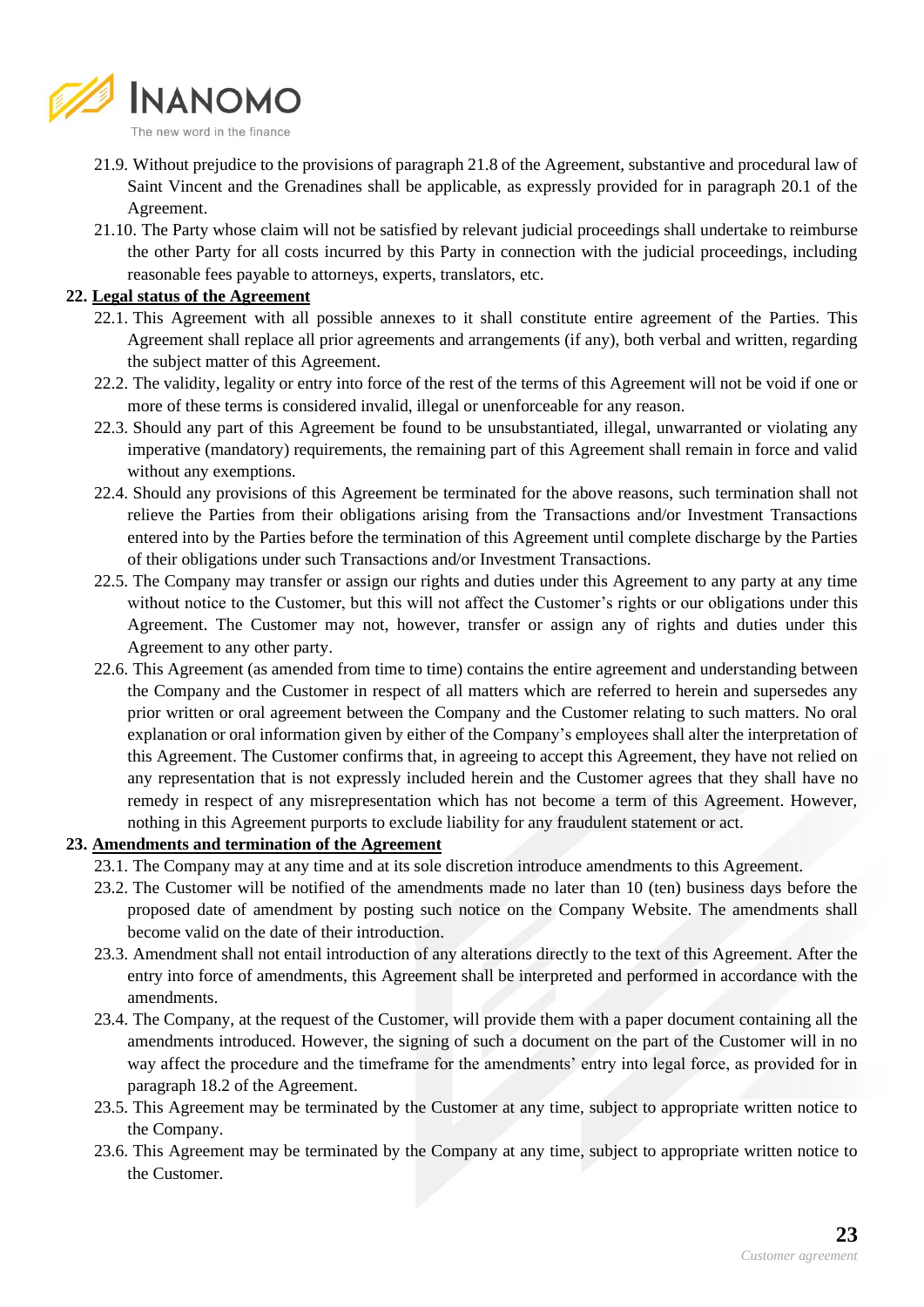

- 21.9. Without prejudice to the provisions of paragraph 21.8 of the Agreement, substantive and procedural law of Saint Vincent and the Grenadines shall be applicable, as expressly provided for in paragraph 20.1 of the Agreement.
- 21.10. The Party whose claim will not be satisfied by relevant judicial proceedings shall undertake to reimburse the other Party for all costs incurred by this Party in connection with the judicial proceedings, including reasonable fees payable to attorneys, experts, translators, etc.

## **22. Legal status of the Agreement**

- 22.1. This Agreement with all possible annexes to it shall constitute entire agreement of the Parties. This Agreement shall replace all prior agreements and arrangements (if any), both verbal and written, regarding the subject matter of this Agreement.
- 22.2. The validity, legality or entry into force of the rest of the terms of this Agreement will not be void if one or more of these terms is considered invalid, illegal or unenforceable for any reason.
- 22.3. Should any part of this Agreement be found to be unsubstantiated, illegal, unwarranted or violating any imperative (mandatory) requirements, the remaining part of this Agreement shall remain in force and valid without any exemptions.
- 22.4. Should any provisions of this Agreement be terminated for the above reasons, such termination shall not relieve the Parties from their obligations arising from the Transactions and/or Investment Transactions entered into by the Parties before the termination of this Agreement until complete discharge by the Parties of their obligations under such Transactions and/or Investment Transactions.
- 22.5. The Company may transfer or assign our rights and duties under this Agreement to any party at any time without notice to the Customer, but this will not affect the Customer's rights or our obligations under this Agreement. The Customer may not, however, transfer or assign any of rights and duties under this Agreement to any other party.
- 22.6. This Agreement (as amended from time to time) contains the entire agreement and understanding between the Company and the Customer in respect of all matters which are referred to herein and supersedes any prior written or oral agreement between the Company and the Customer relating to such matters. No oral explanation or oral information given by either of the Company's employees shall alter the interpretation of this Agreement. The Customer confirms that, in agreeing to accept this Agreement, they have not relied on any representation that is not expressly included herein and the Customer agrees that they shall have no remedy in respect of any misrepresentation which has not become a term of this Agreement. However, nothing in this Agreement purports to exclude liability for any fraudulent statement or act.

### **23. Amendments and termination of the Agreement**

- 23.1. The Company may at any time and at its sole discretion introduce amendments to this Agreement.
- 23.2. The Customer will be notified of the amendments made no later than 10 (ten) business days before the proposed date of amendment by posting such notice on the Company Website. The amendments shall become valid on the date of their introduction.
- 23.3. Amendment shall not entail introduction of any alterations directly to the text of this Agreement. After the entry into force of amendments, this Agreement shall be interpreted and performed in accordance with the amendments.
- 23.4. The Company, at the request of the Customer, will provide them with a paper document containing all the amendments introduced. However, the signing of such a document on the part of the Customer will in no way affect the procedure and the timeframe for the amendments' entry into legal force, as provided for in paragraph 18.2 of the Agreement.
- 23.5. This Agreement may be terminated by the Customer at any time, subject to appropriate written notice to the Company.
- 23.6. This Agreement may be terminated by the Company at any time, subject to appropriate written notice to the Customer.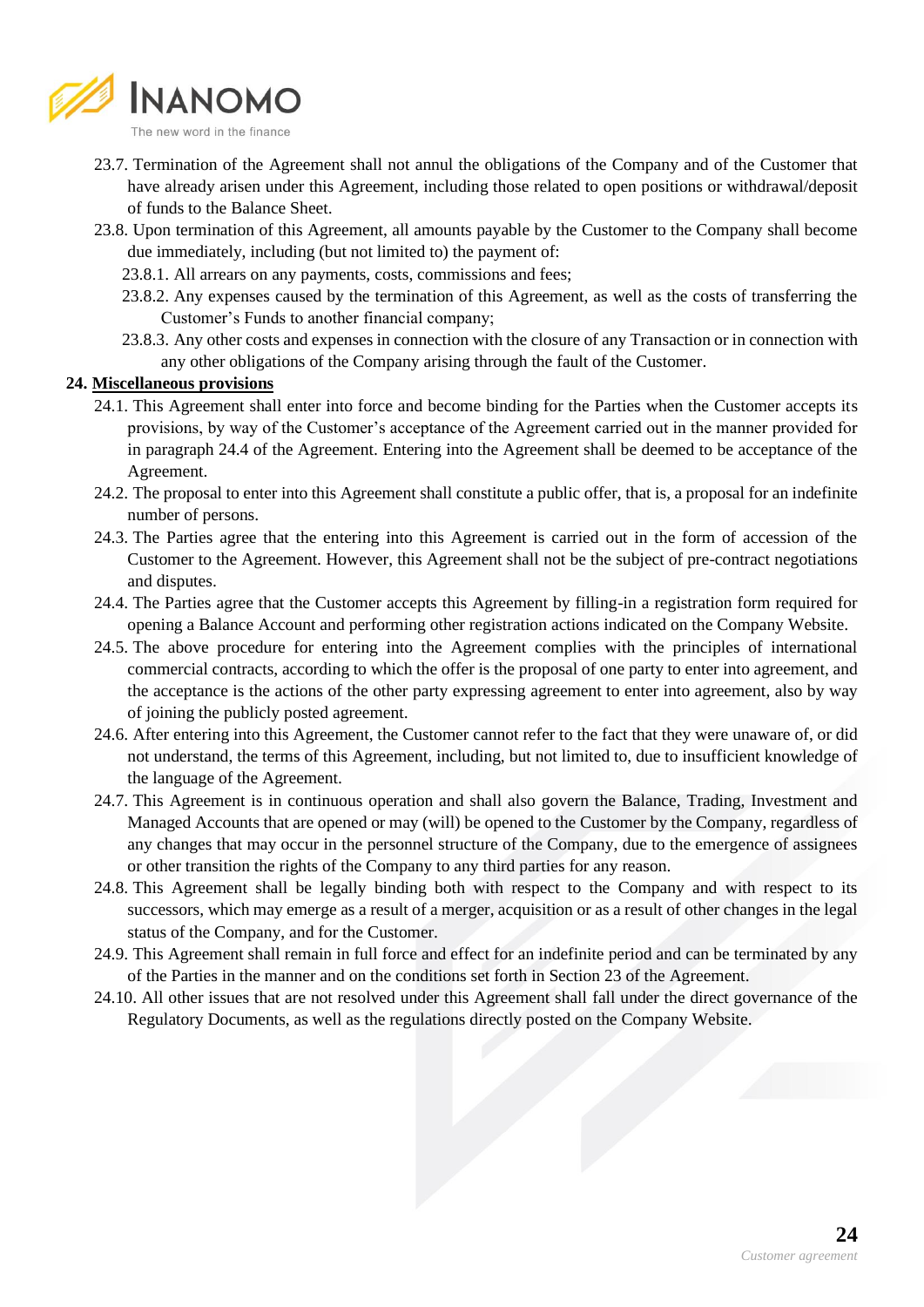

- 23.7. Termination of the Agreement shall not annul the obligations of the Company and of the Customer that have already arisen under this Agreement, including those related to open positions or withdrawal/deposit of funds to the Balance Sheet.
- 23.8. Upon termination of this Agreement, all amounts payable by the Customer to the Company shall become due immediately, including (but not limited to) the payment of:
	- 23.8.1. All arrears on any payments, costs, commissions and fees;
	- 23.8.2. Any expenses caused by the termination of this Agreement, as well as the costs of transferring the Customer's Funds to another financial company;
	- 23.8.3. Any other costs and expenses in connection with the closure of any Transaction or in connection with any other obligations of the Company arising through the fault of the Customer.

#### **24. Miscellaneous provisions**

- 24.1. This Agreement shall enter into force and become binding for the Parties when the Customer accepts its provisions, by way of the Customer's acceptance of the Agreement carried out in the manner provided for in paragraph 24.4 of the Agreement. Entering into the Agreement shall be deemed to be acceptance of the Agreement.
- 24.2. The proposal to enter into this Agreement shall constitute a public offer, that is, a proposal for an indefinite number of persons.
- 24.3. The Parties agree that the entering into this Agreement is carried out in the form of accession of the Customer to the Agreement. However, this Agreement shall not be the subject of pre-contract negotiations and disputes.
- 24.4. The Parties agree that the Customer accepts this Agreement by filling-in a registration form required for opening a Balance Account and performing other registration actions indicated on the Company Website.
- 24.5. The above procedure for entering into the Agreement complies with the principles of international commercial contracts, according to which the offer is the proposal of one party to enter into agreement, and the acceptance is the actions of the other party expressing agreement to enter into agreement, also by way of joining the publicly posted agreement.
- 24.6. After entering into this Agreement, the Customer cannot refer to the fact that they were unaware of, or did not understand, the terms of this Agreement, including, but not limited to, due to insufficient knowledge of the language of the Agreement.
- 24.7. This Agreement is in continuous operation and shall also govern the Balance, Trading, Investment and Managed Accounts that are opened or may (will) be opened to the Customer by the Company, regardless of any changes that may occur in the personnel structure of the Company, due to the emergence of assignees or other transition the rights of the Company to any third parties for any reason.
- 24.8. This Agreement shall be legally binding both with respect to the Company and with respect to its successors, which may emerge as a result of a merger, acquisition or as a result of other changes in the legal status of the Company, and for the Customer.
- 24.9. This Agreement shall remain in full force and effect for an indefinite period and can be terminated by any of the Parties in the manner and on the conditions set forth in Section 23 of the Agreement.
- 24.10. All other issues that are not resolved under this Agreement shall fall under the direct governance of the Regulatory Documents, as well as the regulations directly posted on the Company Website.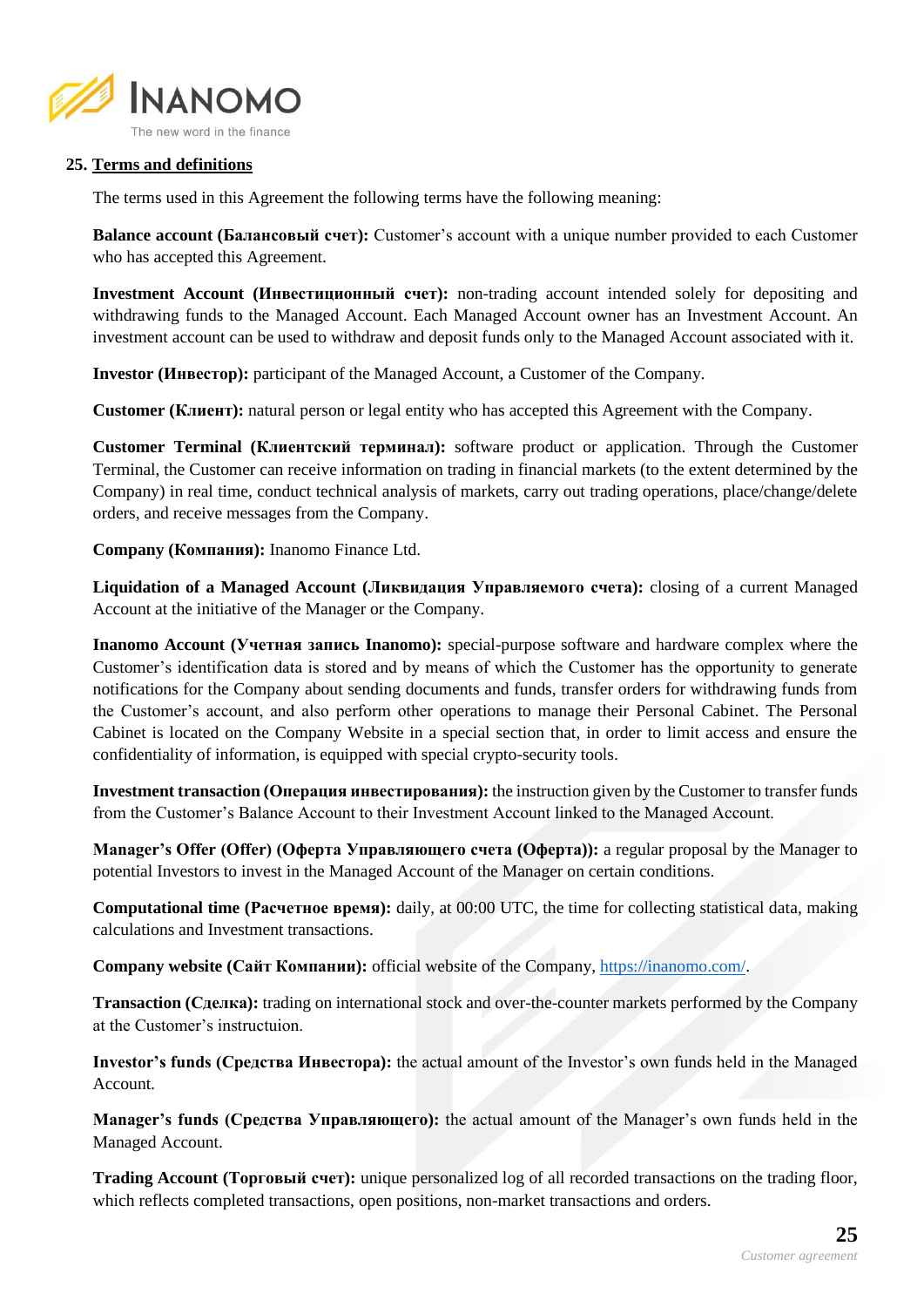

### **25. Terms and definitions**

The terms used in this Agreement the following terms have the following meaning:

**Balance account (Балансовый счет):** Customer's account with a unique number provided to each Customer who has accepted this Agreement.

**Investment Account (Инвестиционный счет):** non-trading account intended solely for depositing and withdrawing funds to the Managed Account. Each Managed Account owner has an Investment Account. An investment account can be used to withdraw and deposit funds only to the Managed Account associated with it.

**Investor (Инвестор):** participant of the Managed Account, a Customer of the Company.

**Customer (Клиент):** natural person or legal entity who has accepted this Agreement with the Company.

**Customer Terminal (Клиентский терминал):** software product or application. Through the Customer Terminal, the Customer can receive information on trading in financial markets (to the extent determined by the Company) in real time, conduct technical analysis of markets, carry out trading operations, place/change/delete orders, and receive messages from the Company.

**Company (Компания):** Inanomo Finance Ltd.

**Liquidation of a Managed Account (Ликвидация Управляемого счета):** closing of a current Managed Account at the initiative of the Manager or the Company.

**Inanomo Account (Учетная запись Inanomo):** special-purpose software and hardware complex where the Customer's identification data is stored and by means of which the Customer has the opportunity to generate notifications for the Company about sending documents and funds, transfer orders for withdrawing funds from the Customer's account, and also perform other operations to manage their Personal Cabinet. The Personal Cabinet is located on the Company Website in a special section that, in order to limit access and ensure the confidentiality of information, is equipped with special crypto-security tools.

**Investment transaction (Операция инвестирования):** the instruction given by the Customer to transfer funds from the Customer's Balance Account to their Investment Account linked to the Managed Account.

**Manager's Offer (Offer) (Оферта Управляющего счета (Оферта)):** a regular proposal by the Manager to potential Investors to invest in the Managed Account of the Manager on certain conditions.

**Computational time (Расчетное время):** daily, at 00:00 UTC, the time for collecting statistical data, making calculations and Investment transactions.

**Company website (Сайт Компании):** official website of the Company[, https://inanomo.com/.](https://inanomo.com/)

**Transaction (Сделка):** trading on international stock and over-the-counter markets performed by the Company at the Customer's instructuion.

**Investor's funds (Средства Инвестора):** the actual amount of the Investor's own funds held in the Managed Account.

**Manager's funds (Средства Управляющего):** the actual amount of the Manager's own funds held in the Managed Account.

**Trading Account (Торговый счет):** unique personalized log of all recorded transactions on the trading floor, which reflects completed transactions, open positions, non-market transactions and orders.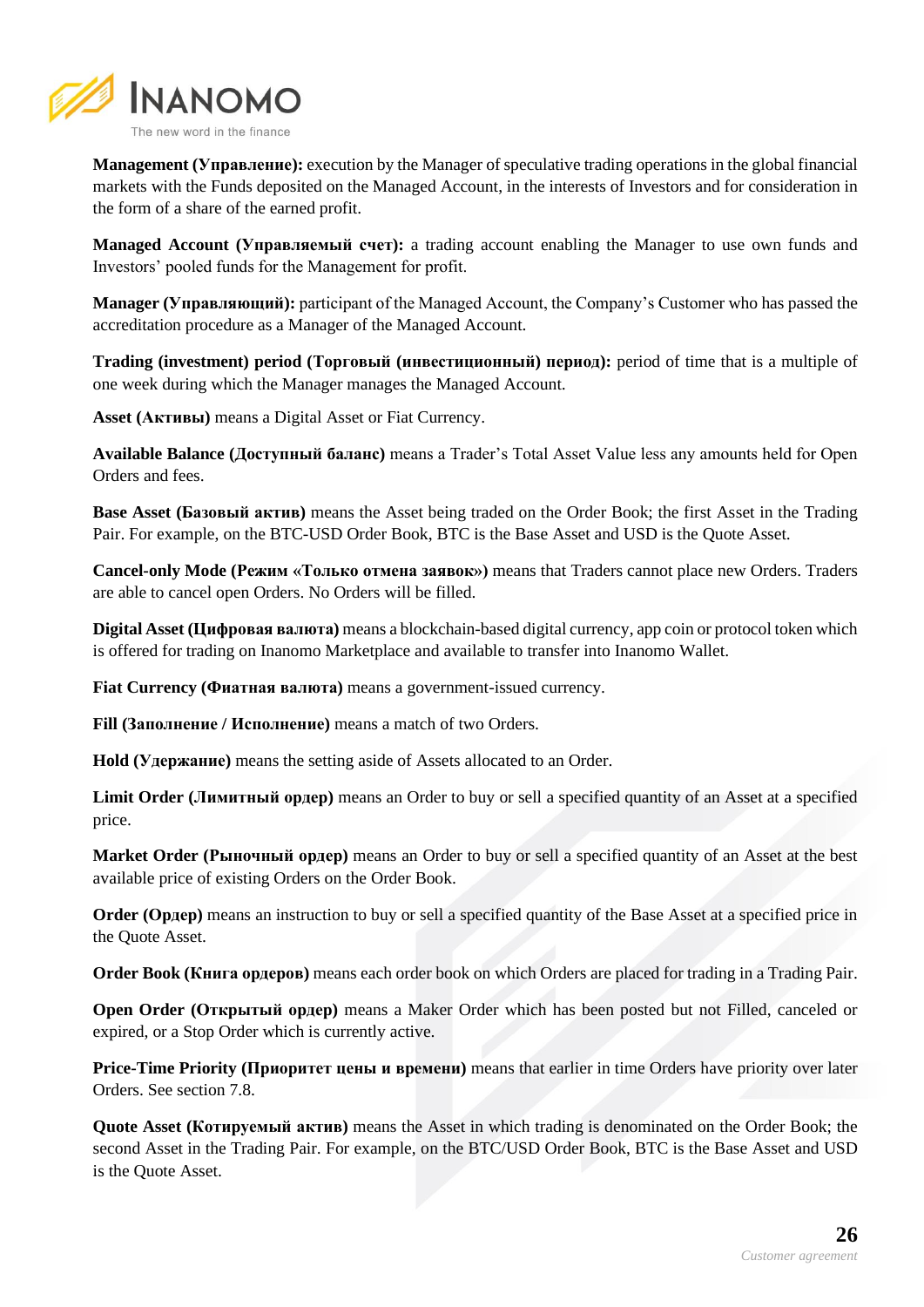

**Management (Управление):** execution by the Manager of speculative trading operations in the global financial markets with the Funds deposited on the Managed Account, in the interests of Investors and for consideration in the form of a share of the earned profit.

**Managed Account (Управляемый счет):** a trading account enabling the Manager to use own funds and Investors' pooled funds for the Management for profit.

**Manager (Управляющий):** participant of the Managed Account, the Company's Customer who has passed the accreditation procedure as a Manager of the Managed Account.

**Trading (investment) period (Торговый (инвестиционный) период):** period of time that is a multiple of one week during which the Manager manages the Managed Account.

**Asset (Активы)** means a Digital Asset or Fiat Currency.

**Available Balance (Доступный баланс)** means a Trader's Total Asset Value less any amounts held for Open Orders and fees.

**Base Asset (Базовый актив)** means the Asset being traded on the Order Book; the first Asset in the Trading Pair. For example, on the BTC-USD Order Book, BTC is the Base Asset and USD is the Quote Asset.

**Cancel-only Mode (Режим «Только отмена заявок»)** means that Traders cannot place new Orders. Traders are able to cancel open Orders. No Orders will be filled.

**Digital Asset (Цифровая валюта)** means a blockchain-based digital currency, app coin or protocol token which is offered for trading on Inanomo Marketplace and available to transfer into Inanomo Wallet.

**Fiat Currency (Фиатная валюта)** means a government-issued currency.

**Fill (Заполнение / Исполнение)** means a match of two Orders.

**Hold (Удержание)** means the setting aside of Assets allocated to an Order.

**Limit Order (Лимитный ордер)** means an Order to buy or sell a specified quantity of an Asset at a specified price.

**Market Order (Рыночный ордер)** means an Order to buy or sell a specified quantity of an Asset at the best available price of existing Orders on the Order Book.

**Order (Ордер)** means an instruction to buy or sell a specified quantity of the Base Asset at a specified price in the Quote Asset.

**Order Book (Книга ордеров)** means each order book on which Orders are placed for trading in a Trading Pair.

**Open Order (Открытый ордер)** means a Maker Order which has been posted but not Filled, canceled or expired, or a Stop Order which is currently active.

**Price-Time Priority (Приоритет цены и времени)** means that earlier in time Orders have priority over later Orders. See section 7.8.

**Quote Asset (Котируемый актив)** means the Asset in which trading is denominated on the Order Book; the second Asset in the Trading Pair. For example, on the BTC/USD Order Book, BTC is the Base Asset and USD is the Quote Asset.